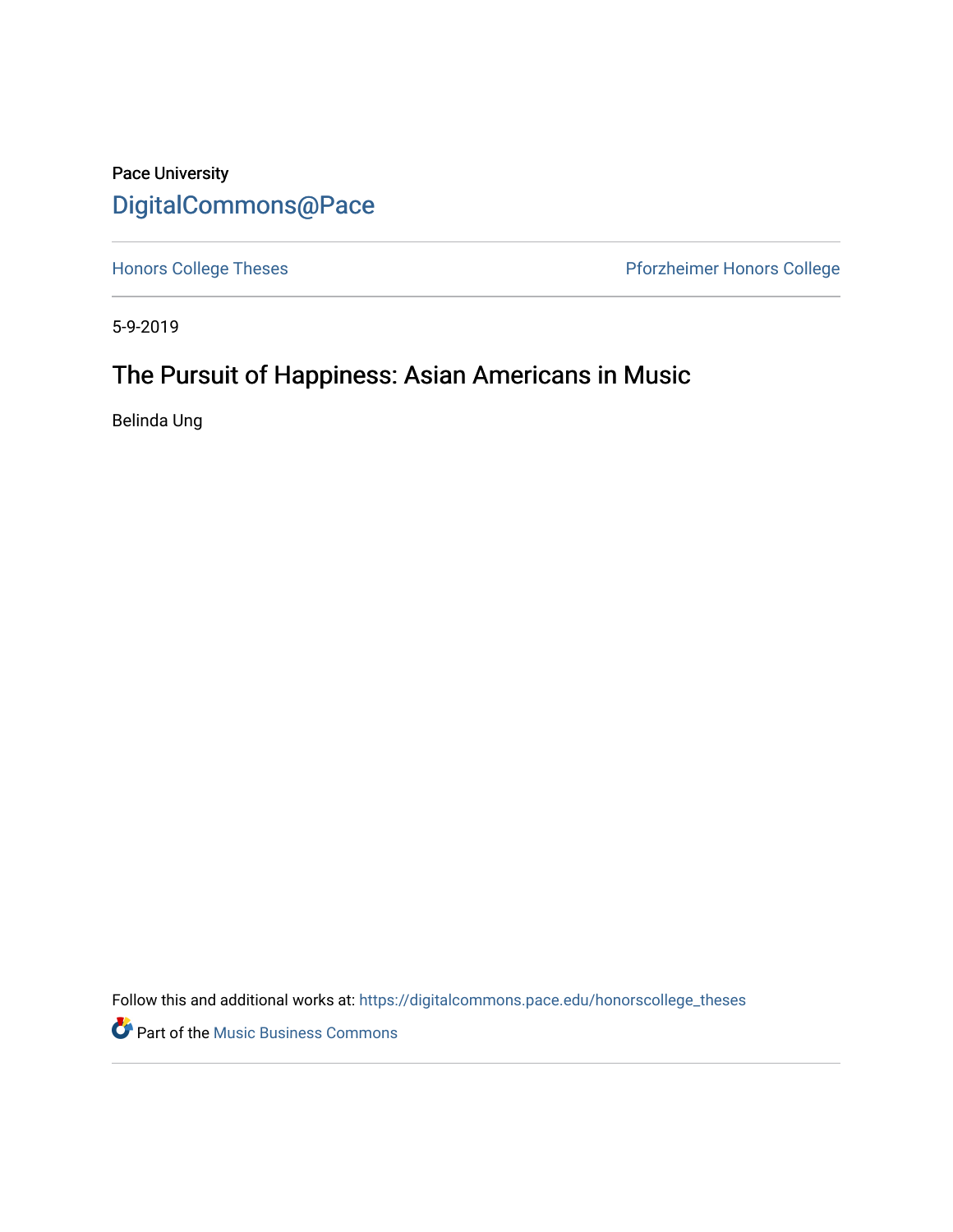# Pace University [DigitalCommons@Pace](https://digitalcommons.pace.edu/)

[Honors College Theses](https://digitalcommons.pace.edu/honorscollege_theses) **Pforzheimer Honors College** 

5-9-2019

# The Pursuit of Happiness: Asian Americans in Music

Belinda Ung

Follow this and additional works at: [https://digitalcommons.pace.edu/honorscollege\\_theses](https://digitalcommons.pace.edu/honorscollege_theses?utm_source=digitalcommons.pace.edu%2Fhonorscollege_theses%2F295&utm_medium=PDF&utm_campaign=PDFCoverPages) 

**P** Part of the Music Business Commons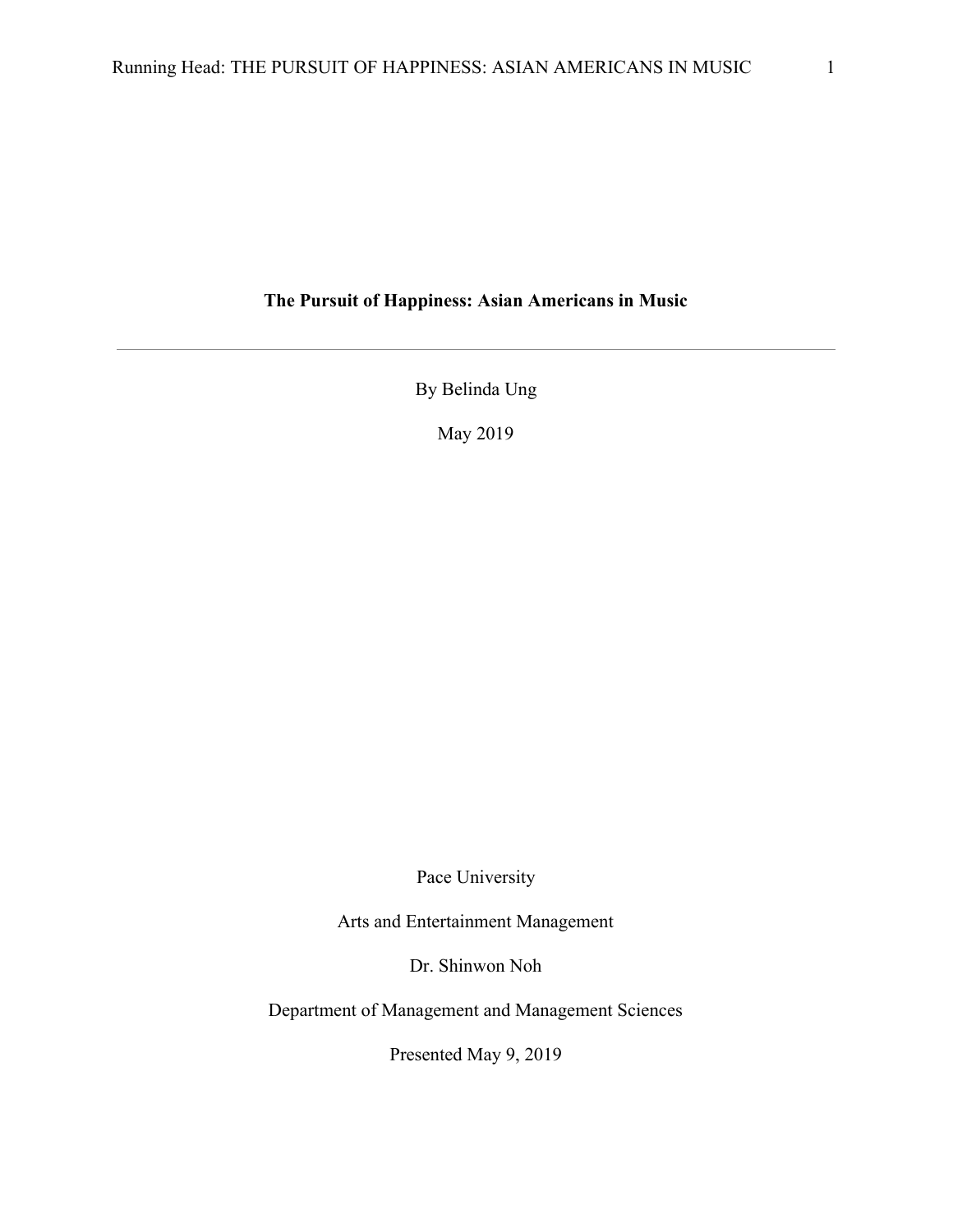# **The Pursuit of Happiness: Asian Americans in Music**

By Belinda Ung

May 2019

Pace University

Arts and Entertainment Management

Dr. Shinwon Noh

Department of Management and Management Sciences

Presented May 9, 2019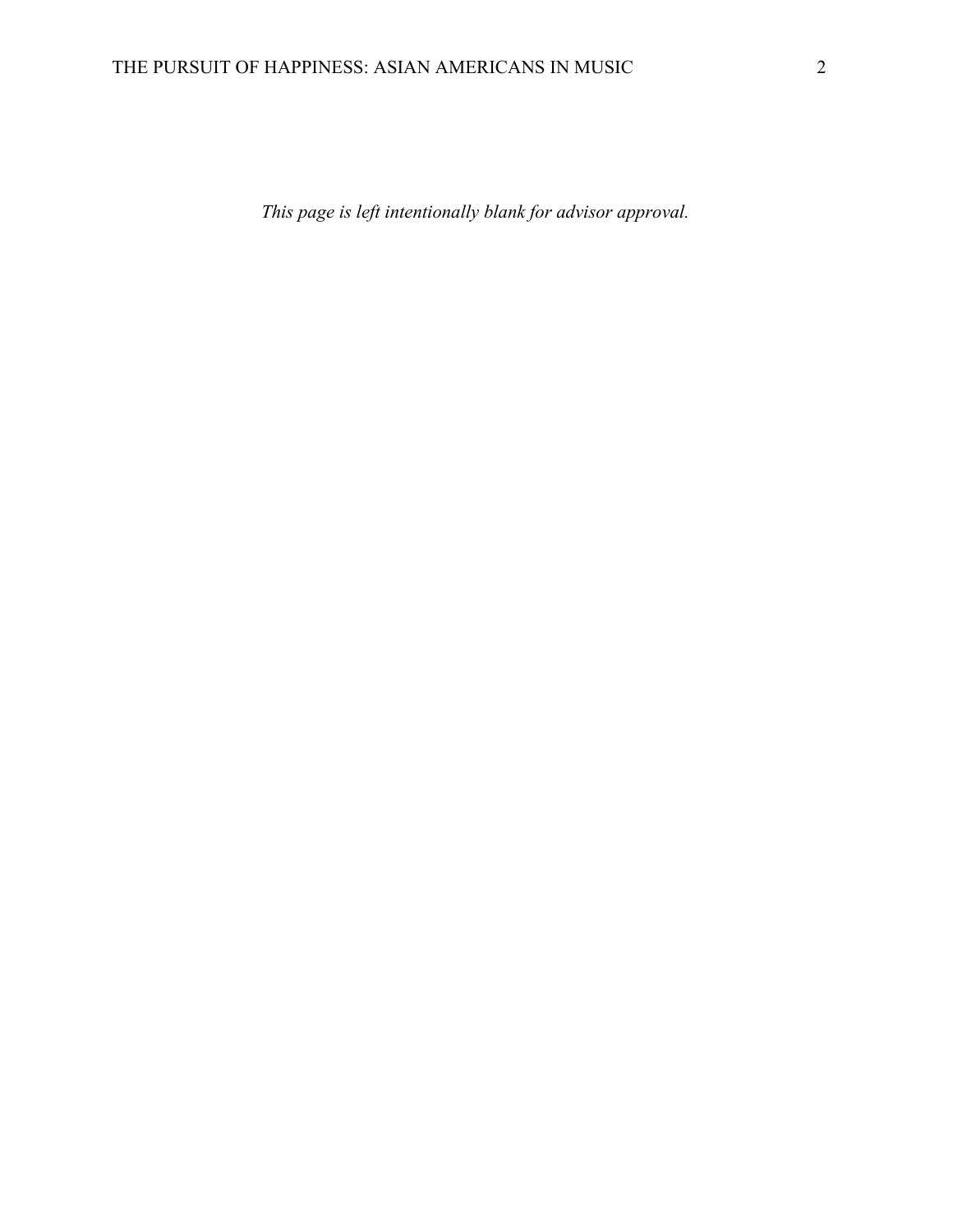*This page is left intentionally blank for advisor approval.*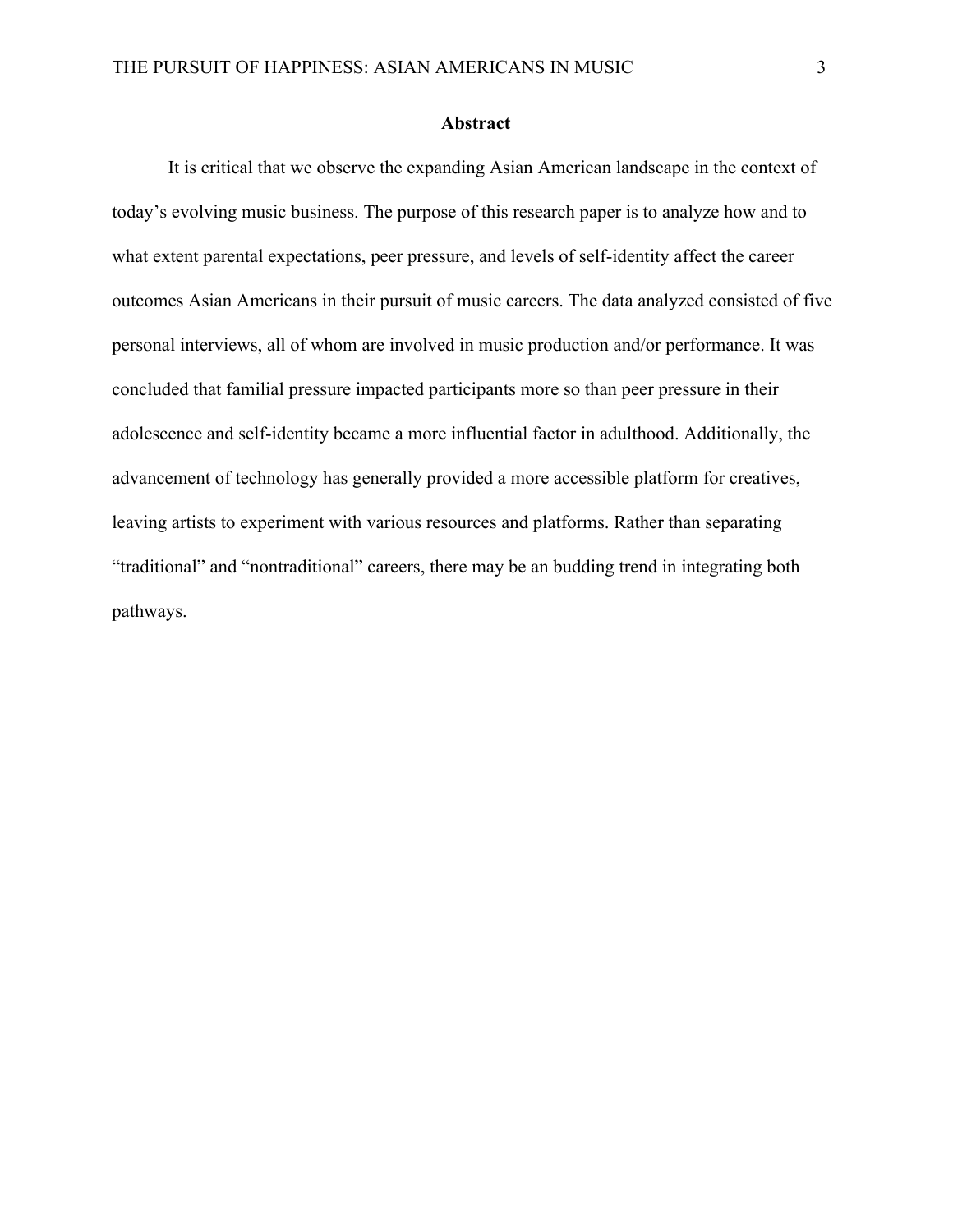#### **Abstract**

It is critical that we observe the expanding Asian American landscape in the context of today's evolving music business. The purpose of this research paper is to analyze how and to what extent parental expectations, peer pressure, and levels of self-identity affect the career outcomes Asian Americans in their pursuit of music careers. The data analyzed consisted of five personal interviews, all of whom are involved in music production and/or performance. It was concluded that familial pressure impacted participants more so than peer pressure in their adolescence and self-identity became a more influential factor in adulthood. Additionally, the advancement of technology has generally provided a more accessible platform for creatives, leaving artists to experiment with various resources and platforms. Rather than separating "traditional" and "nontraditional" careers, there may be an budding trend in integrating both pathways.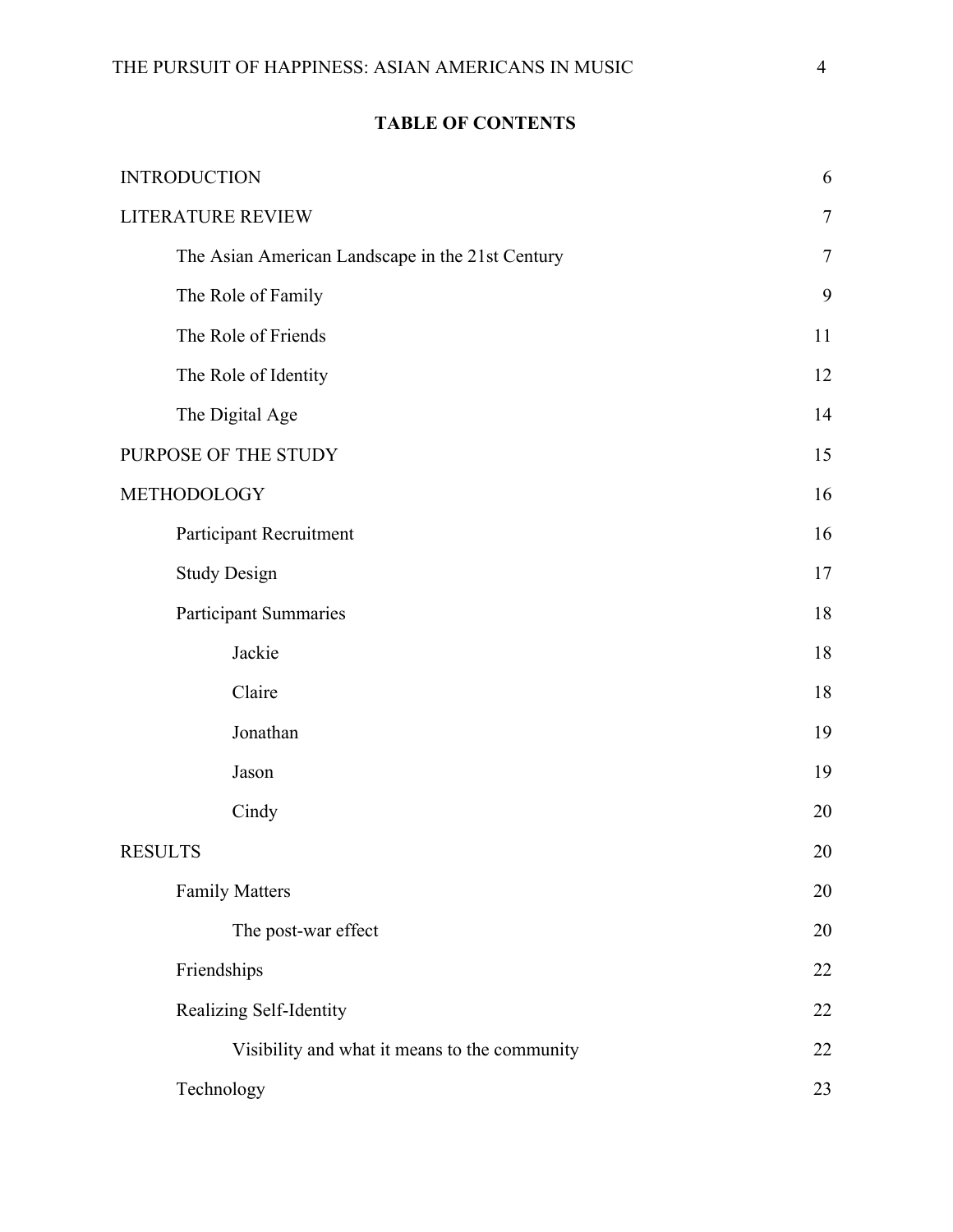|  |  | <b>TABLE OF CONTENTS</b> |
|--|--|--------------------------|
|  |  |                          |

| <b>INTRODUCTION</b>                              | 6      |  |
|--------------------------------------------------|--------|--|
| <b>LITERATURE REVIEW</b>                         |        |  |
| The Asian American Landscape in the 21st Century | $\tau$ |  |
| The Role of Family                               | 9      |  |
| The Role of Friends                              | 11     |  |
| The Role of Identity                             | 12     |  |
| The Digital Age                                  | 14     |  |
| PURPOSE OF THE STUDY                             | 15     |  |
| METHODOLOGY                                      |        |  |
| Participant Recruitment                          | 16     |  |
| <b>Study Design</b>                              | 17     |  |
| <b>Participant Summaries</b>                     | 18     |  |
| Jackie                                           | 18     |  |
| Claire                                           | 18     |  |
| Jonathan                                         | 19     |  |
| Jason                                            | 19     |  |
| Cindy                                            | 20     |  |
| <b>RESULTS</b>                                   |        |  |
| <b>Family Matters</b>                            | 20     |  |
| The post-war effect                              | 20     |  |
| Friendships                                      |        |  |
| Realizing Self-Identity                          |        |  |
| Visibility and what it means to the community    | 22     |  |
| Technology                                       | 23     |  |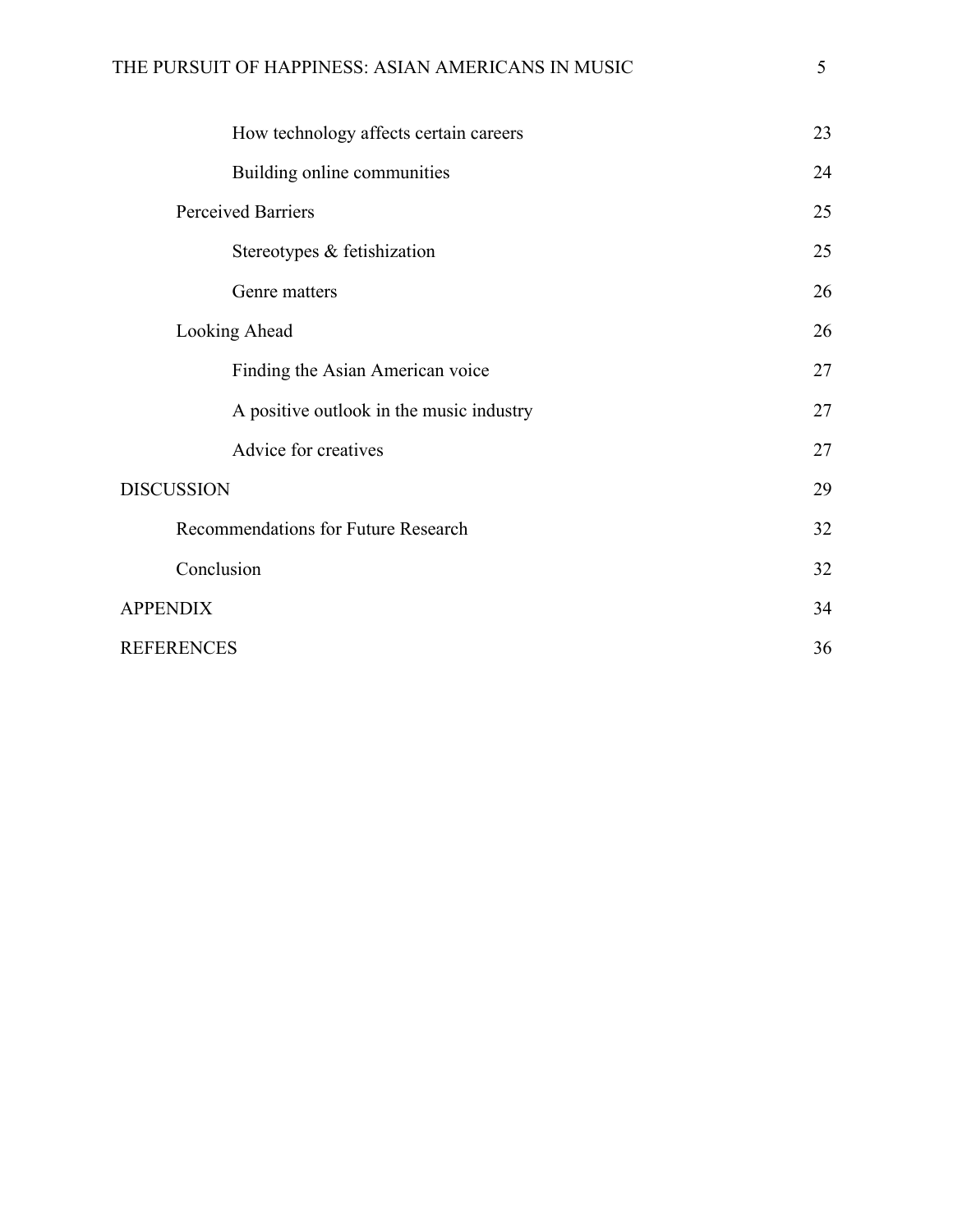|                           | How technology affects certain careers   | 23 |
|---------------------------|------------------------------------------|----|
|                           | Building online communities              | 24 |
| <b>Perceived Barriers</b> |                                          | 25 |
|                           | Stereotypes & fetishization              | 25 |
|                           | Genre matters                            | 26 |
| Looking Ahead             |                                          | 26 |
|                           | Finding the Asian American voice         | 27 |
|                           | A positive outlook in the music industry | 27 |
|                           | Advice for creatives                     | 27 |
| <b>DISCUSSION</b>         |                                          | 29 |
|                           | Recommendations for Future Research      | 32 |
|                           | Conclusion                               | 32 |
| <b>APPENDIX</b>           |                                          | 34 |
| <b>REFERENCES</b>         |                                          | 36 |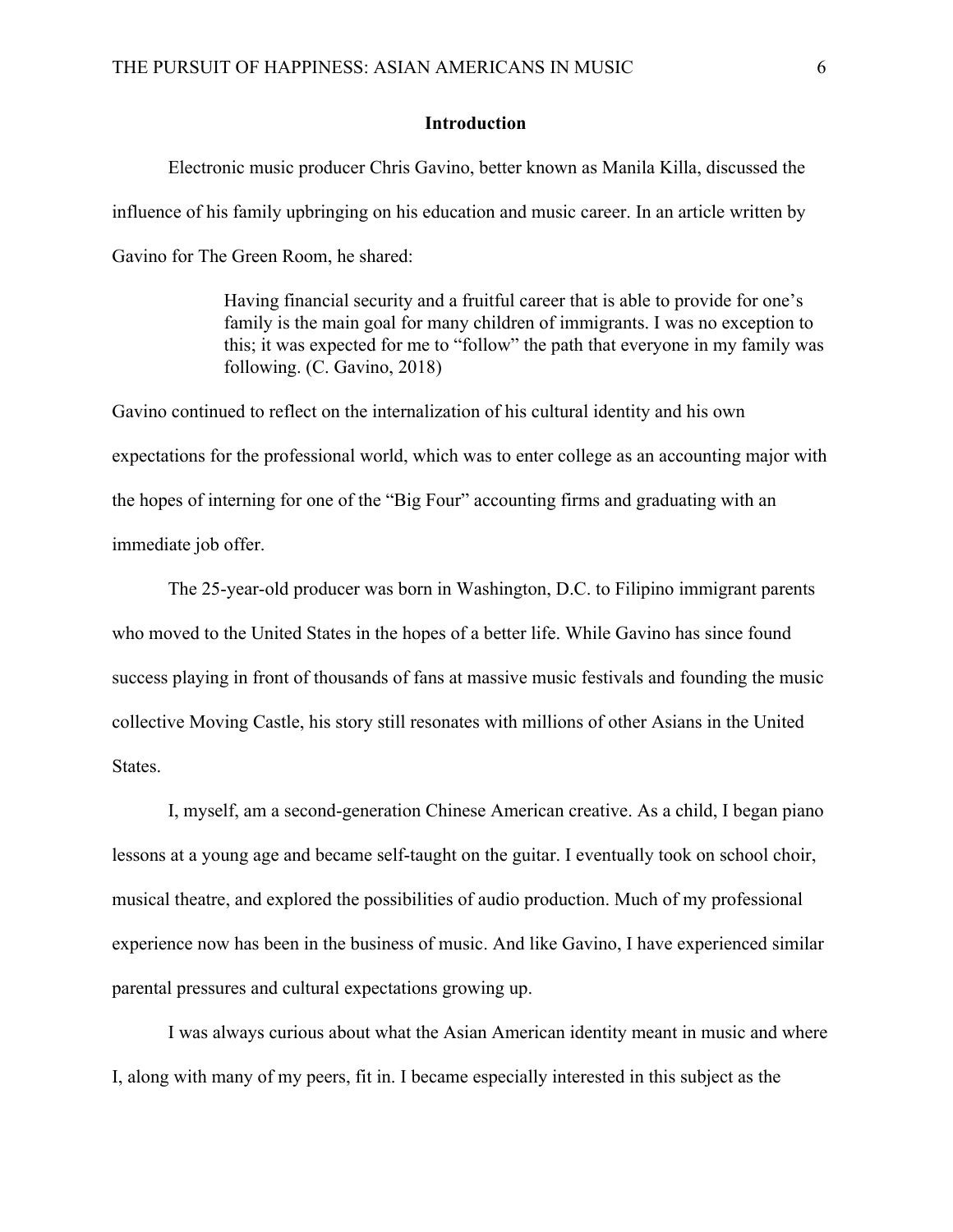#### **Introduction**

Electronic music producer Chris Gavino, better known as Manila Killa, discussed the influence of his family upbringing on his education and music career. In an article written by Gavino for The Green Room, he shared:

> Having financial security and a fruitful career that is able to provide for one's family is the main goal for many children of immigrants. I was no exception to this; it was expected for me to "follow" the path that everyone in my family was following. (C. Gavino, 2018)

Gavino continued to reflect on the internalization of his cultural identity and his own expectations for the professional world, which was to enter college as an accounting major with the hopes of interning for one of the "Big Four" accounting firms and graduating with an immediate job offer.

The 25-year-old producer was born in Washington, D.C. to Filipino immigrant parents who moved to the United States in the hopes of a better life. While Gavino has since found success playing in front of thousands of fans at massive music festivals and founding the music collective Moving Castle, his story still resonates with millions of other Asians in the United States.

I, myself, am a second-generation Chinese American creative. As a child, I began piano lessons at a young age and became self-taught on the guitar. I eventually took on school choir, musical theatre, and explored the possibilities of audio production. Much of my professional experience now has been in the business of music. And like Gavino, I have experienced similar parental pressures and cultural expectations growing up.

I was always curious about what the Asian American identity meant in music and where I, along with many of my peers, fit in. I became especially interested in this subject as the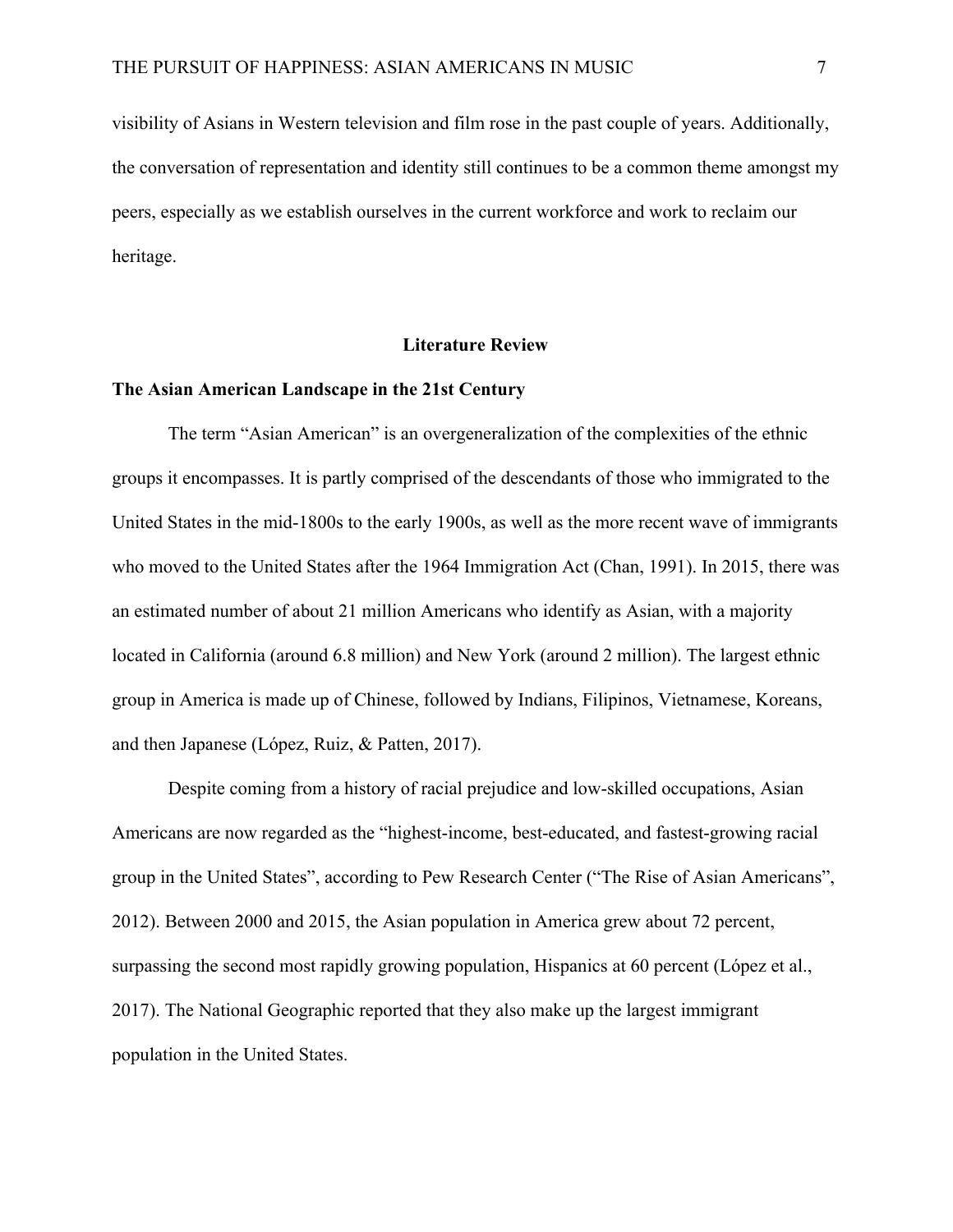visibility of Asians in Western television and film rose in the past couple of years. Additionally, the conversation of representation and identity still continues to be a common theme amongst my peers, especially as we establish ourselves in the current workforce and work to reclaim our heritage.

#### **Literature Review**

#### **The Asian American Landscape in the 21st Century**

The term "Asian American" is an overgeneralization of the complexities of the ethnic groups it encompasses. It is partly comprised of the descendants of those who immigrated to the United States in the mid-1800s to the early 1900s, as well as the more recent wave of immigrants who moved to the United States after the 1964 Immigration Act (Chan, 1991). In 2015, there was an estimated number of about 21 million Americans who identify as Asian, with a majority located in California (around 6.8 million) and New York (around 2 million). The largest ethnic group in America is made up of Chinese, followed by Indians, Filipinos, Vietnamese, Koreans, and then Japanese (López, Ruiz, & Patten, 2017).

Despite coming from a history of racial prejudice and low-skilled occupations, Asian Americans are now regarded as the "highest-income, best-educated, and fastest-growing racial group in the United States", according to Pew Research Center ("The Rise of Asian Americans", 2012). Between 2000 and 2015, the Asian population in America grew about 72 percent, surpassing the second most rapidly growing population, Hispanics at 60 percent (López et al., 2017). The National Geographic reported that they also make up the largest immigrant population in the United States.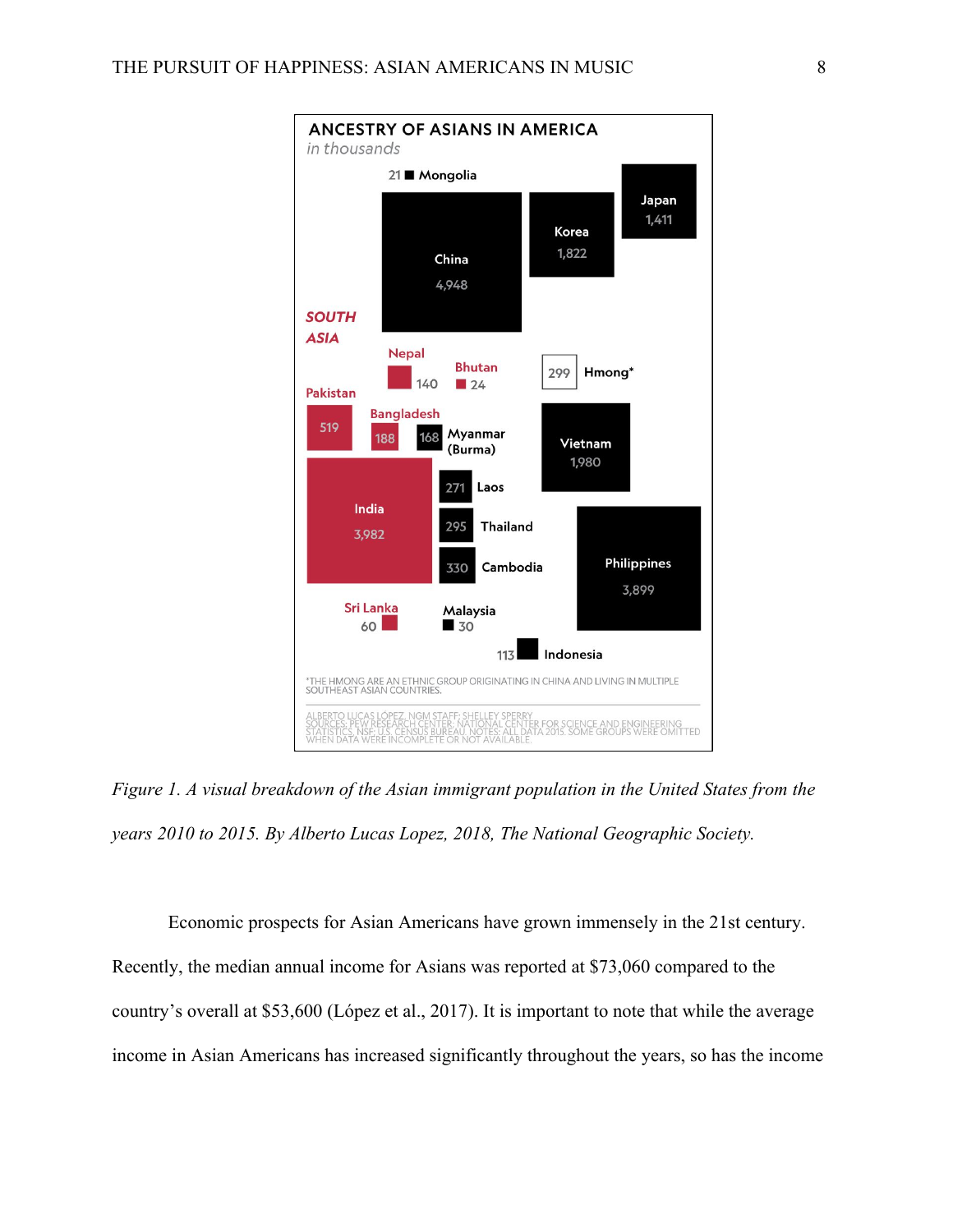

*Figure 1. A visual breakdown of the Asian immigrant population in the United States from the years 2010 to 2015. By Alberto Lucas Lopez, 2018, The National Geographic Society.*

Economic prospects for Asian Americans have grown immensely in the 21st century. Recently, the median annual income for Asians was reported at \$73,060 compared to the country's overall at \$53,600 (López et al., 2017). It is important to note that while the average income in Asian Americans has increased significantly throughout the years, so has the income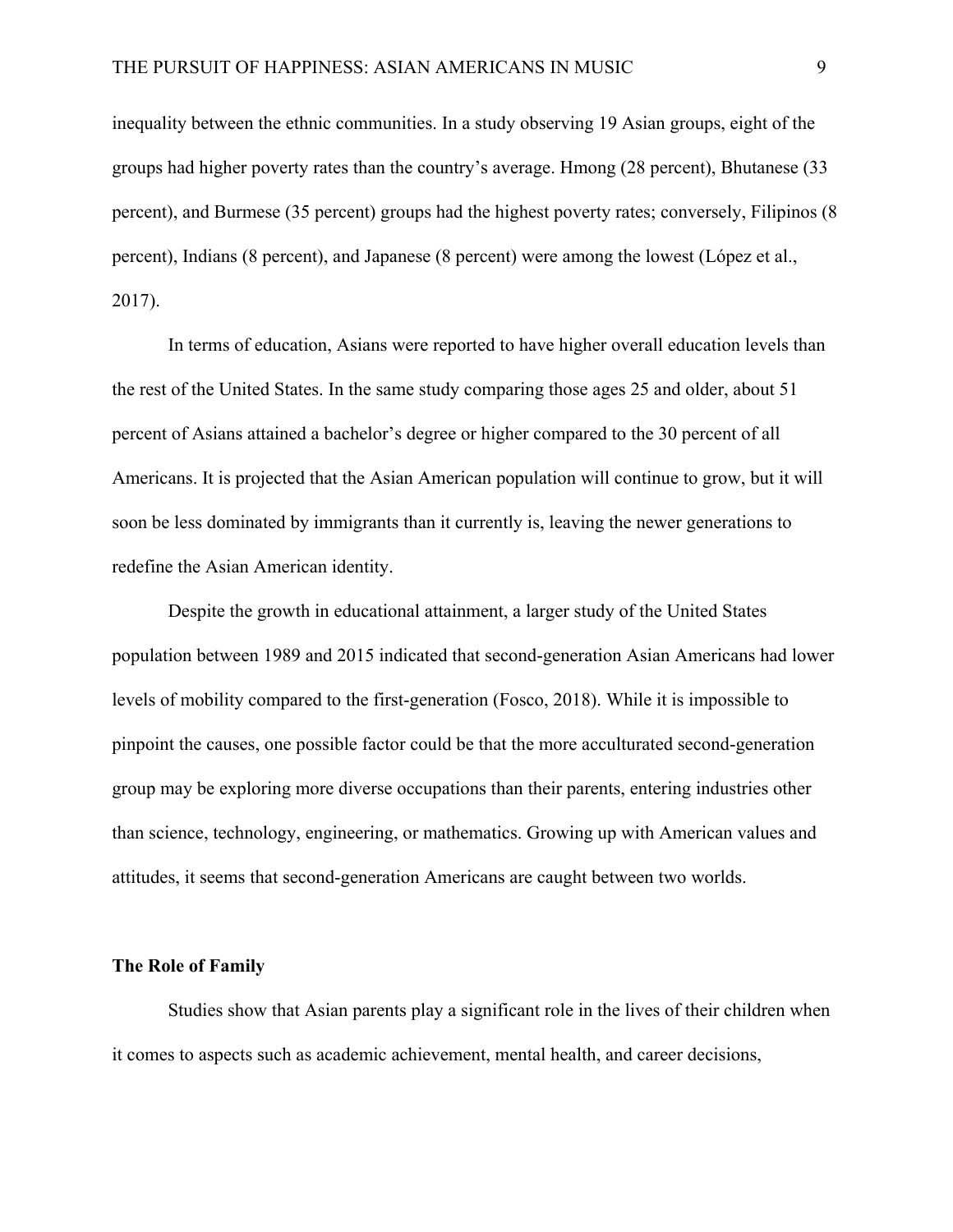inequality between the ethnic communities. In a study observing 19 Asian groups, eight of the groups had higher poverty rates than the country's average. Hmong (28 percent), Bhutanese (33 percent), and Burmese (35 percent) groups had the highest poverty rates; conversely, Filipinos (8 percent), Indians (8 percent), and Japanese (8 percent) were among the lowest (López et al., 2017).

In terms of education, Asians were reported to have higher overall education levels than the rest of the United States. In the same study comparing those ages 25 and older, about 51 percent of Asians attained a bachelor's degree or higher compared to the 30 percent of all Americans. It is projected that the Asian American population will continue to grow, but it will soon be less dominated by immigrants than it currently is, leaving the newer generations to redefine the Asian American identity.

Despite the growth in educational attainment, a larger study of the United States population between 1989 and 2015 indicated that second-generation Asian Americans had lower levels of mobility compared to the first-generation (Fosco, 2018). While it is impossible to pinpoint the causes, one possible factor could be that the more acculturated second-generation group may be exploring more diverse occupations than their parents, entering industries other than science, technology, engineering, or mathematics. Growing up with American values and attitudes, it seems that second-generation Americans are caught between two worlds.

# **The Role of Family**

Studies show that Asian parents play a significant role in the lives of their children when it comes to aspects such as academic achievement, mental health, and career decisions,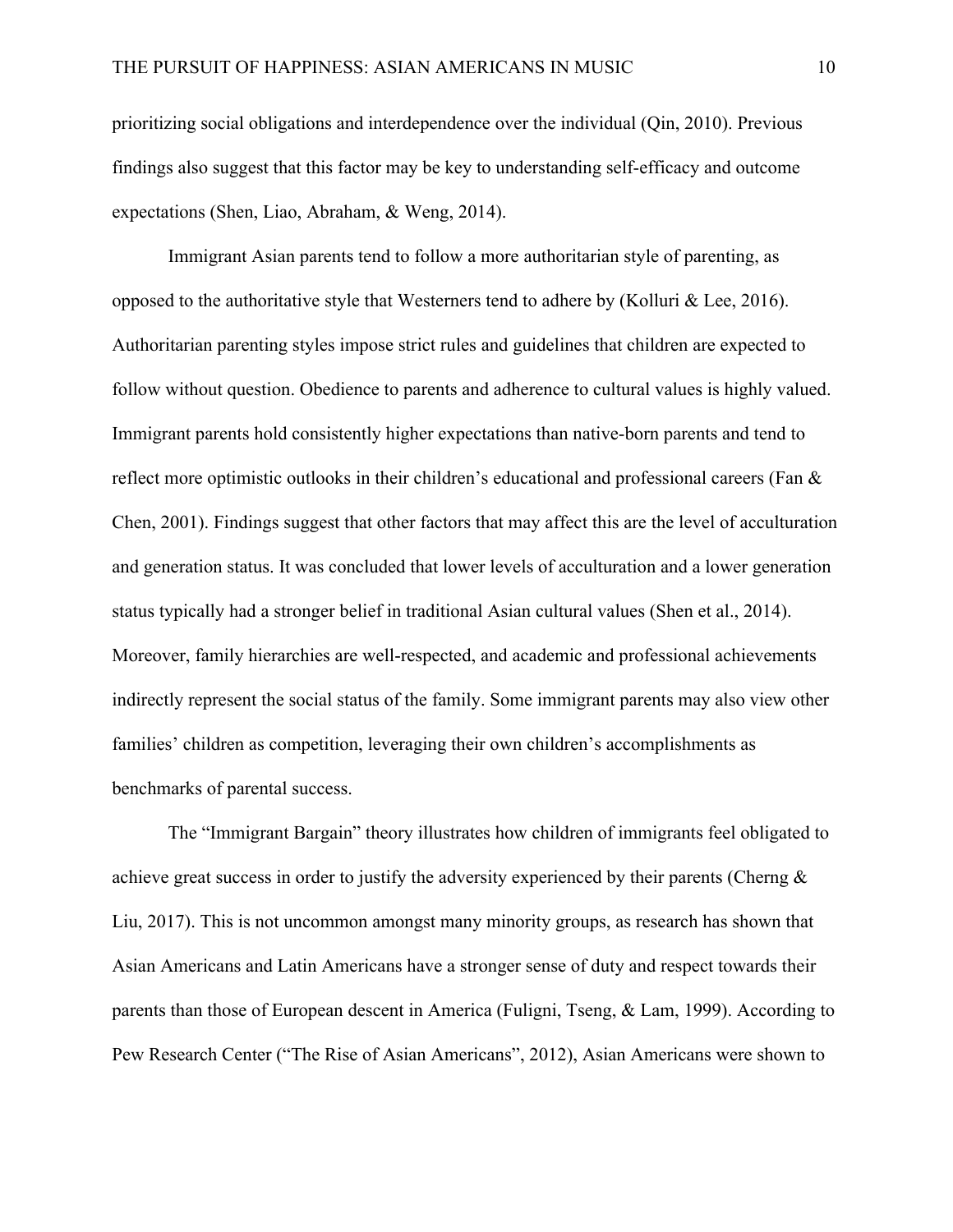prioritizing social obligations and interdependence over the individual (Qin, 2010). Previous findings also suggest that this factor may be key to understanding self-efficacy and outcome expectations (Shen, Liao, Abraham, & Weng, 2014).

Immigrant Asian parents tend to follow a more authoritarian style of parenting, as opposed to the authoritative style that Westerners tend to adhere by (Kolluri & Lee, 2016). Authoritarian parenting styles impose strict rules and guidelines that children are expected to follow without question. Obedience to parents and adherence to cultural values is highly valued. Immigrant parents hold consistently higher expectations than native-born parents and tend to reflect more optimistic outlooks in their children's educational and professional careers (Fan & Chen, 2001). Findings suggest that other factors that may affect this are the level of acculturation and generation status. It was concluded that lower levels of acculturation and a lower generation status typically had a stronger belief in traditional Asian cultural values (Shen et al., 2014). Moreover, family hierarchies are well-respected, and academic and professional achievements indirectly represent the social status of the family. Some immigrant parents may also view other families' children as competition, leveraging their own children's accomplishments as benchmarks of parental success.

The "Immigrant Bargain" theory illustrates how children of immigrants feel obligated to achieve great success in order to justify the adversity experienced by their parents (Cherng & Liu, 2017). This is not uncommon amongst many minority groups, as research has shown that Asian Americans and Latin Americans have a stronger sense of duty and respect towards their parents than those of European descent in America (Fuligni, Tseng, & Lam, 1999). According to Pew Research Center ("The Rise of Asian Americans", 2012), Asian Americans were shown to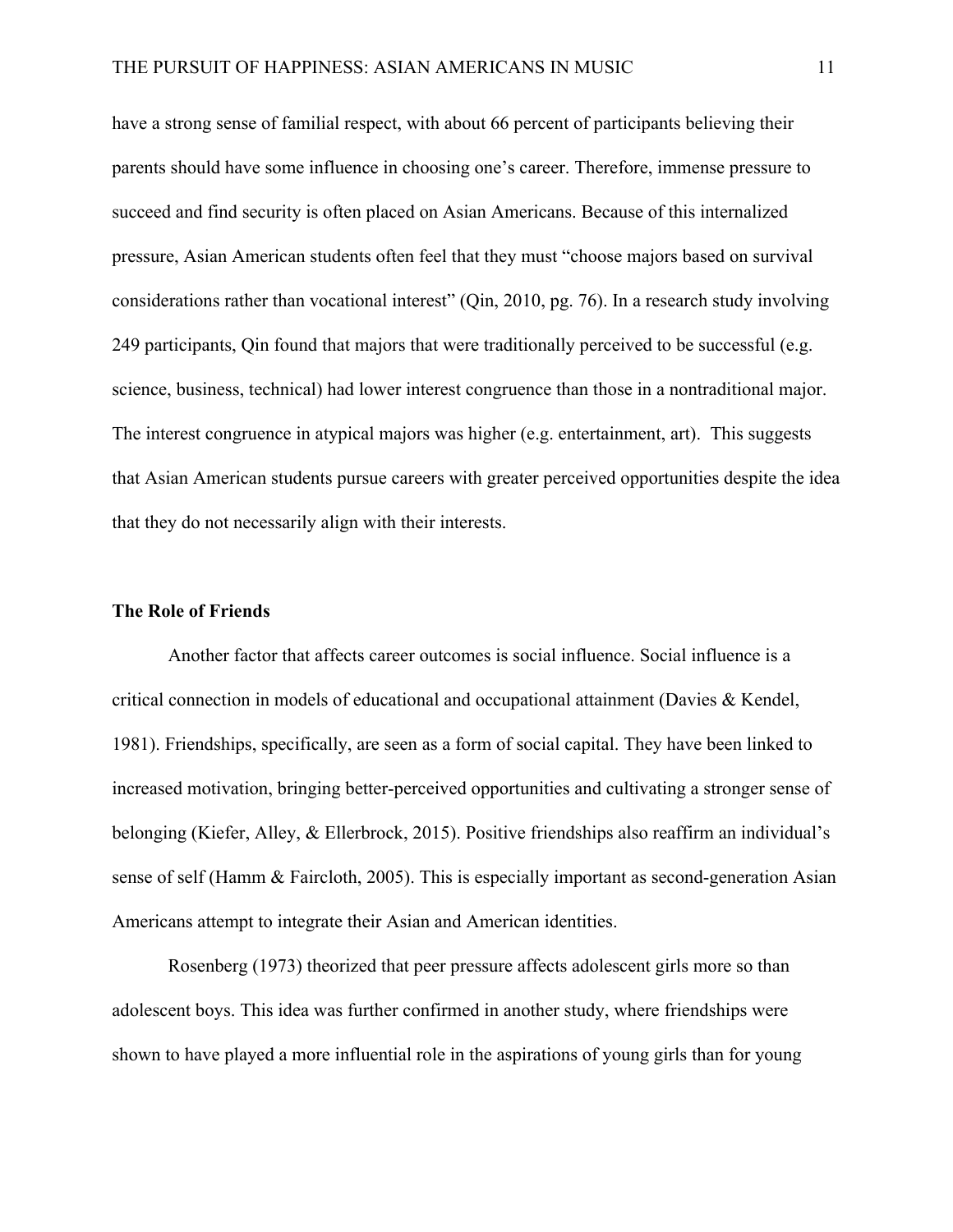have a strong sense of familial respect, with about 66 percent of participants believing their parents should have some influence in choosing one's career. Therefore, immense pressure to succeed and find security is often placed on Asian Americans. Because of this internalized pressure, Asian American students often feel that they must "choose majors based on survival considerations rather than vocational interest" (Qin, 2010, pg. 76). In a research study involving 249 participants, Qin found that majors that were traditionally perceived to be successful (e.g. science, business, technical) had lower interest congruence than those in a nontraditional major. The interest congruence in atypical majors was higher (e.g. entertainment, art). This suggests that Asian American students pursue careers with greater perceived opportunities despite the idea that they do not necessarily align with their interests.

## **The Role of Friends**

Another factor that affects career outcomes is social influence. Social influence is a critical connection in models of educational and occupational attainment (Davies & Kendel, 1981). Friendships, specifically, are seen as a form of social capital. They have been linked to increased motivation, bringing better-perceived opportunities and cultivating a stronger sense of belonging (Kiefer, Alley, & Ellerbrock, 2015). Positive friendships also reaffirm an individual's sense of self (Hamm & Faircloth, 2005). This is especially important as second-generation Asian Americans attempt to integrate their Asian and American identities.

Rosenberg (1973) theorized that peer pressure affects adolescent girls more so than adolescent boys. This idea was further confirmed in another study, where friendships were shown to have played a more influential role in the aspirations of young girls than for young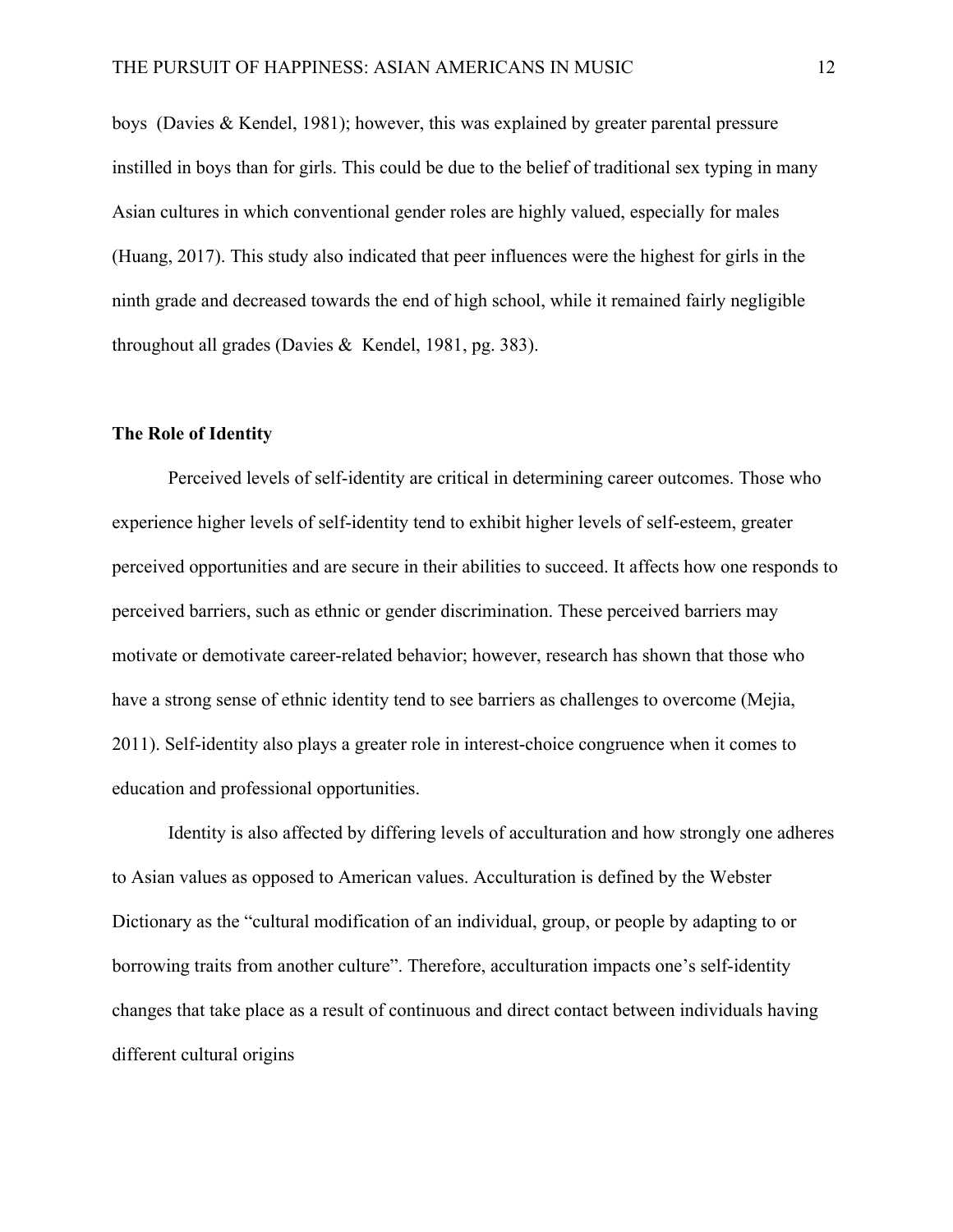boys (Davies & Kendel, 1981); however, this was explained by greater parental pressure instilled in boys than for girls. This could be due to the belief of traditional sex typing in many Asian cultures in which conventional gender roles are highly valued, especially for males (Huang, 2017). This study also indicated that peer influences were the highest for girls in the ninth grade and decreased towards the end of high school, while it remained fairly negligible throughout all grades (Davies & Kendel, 1981, pg. 383).

#### **The Role of Identity**

Perceived levels of self-identity are critical in determining career outcomes. Those who experience higher levels of self-identity tend to exhibit higher levels of self-esteem, greater perceived opportunities and are secure in their abilities to succeed. It affects how one responds to perceived barriers, such as ethnic or gender discrimination. These perceived barriers may motivate or demotivate career-related behavior; however, research has shown that those who have a strong sense of ethnic identity tend to see barriers as challenges to overcome (Mejia, 2011). Self-identity also plays a greater role in interest-choice congruence when it comes to education and professional opportunities.

Identity is also affected by differing levels of acculturation and how strongly one adheres to Asian values as opposed to American values. Acculturation is defined by the Webster Dictionary as the "cultural modification of an individual, group, or people by adapting to or borrowing traits from another culture". Therefore, acculturation impacts one's self-identity changes that take place as a result of continuous and direct contact between individuals having different cultural origins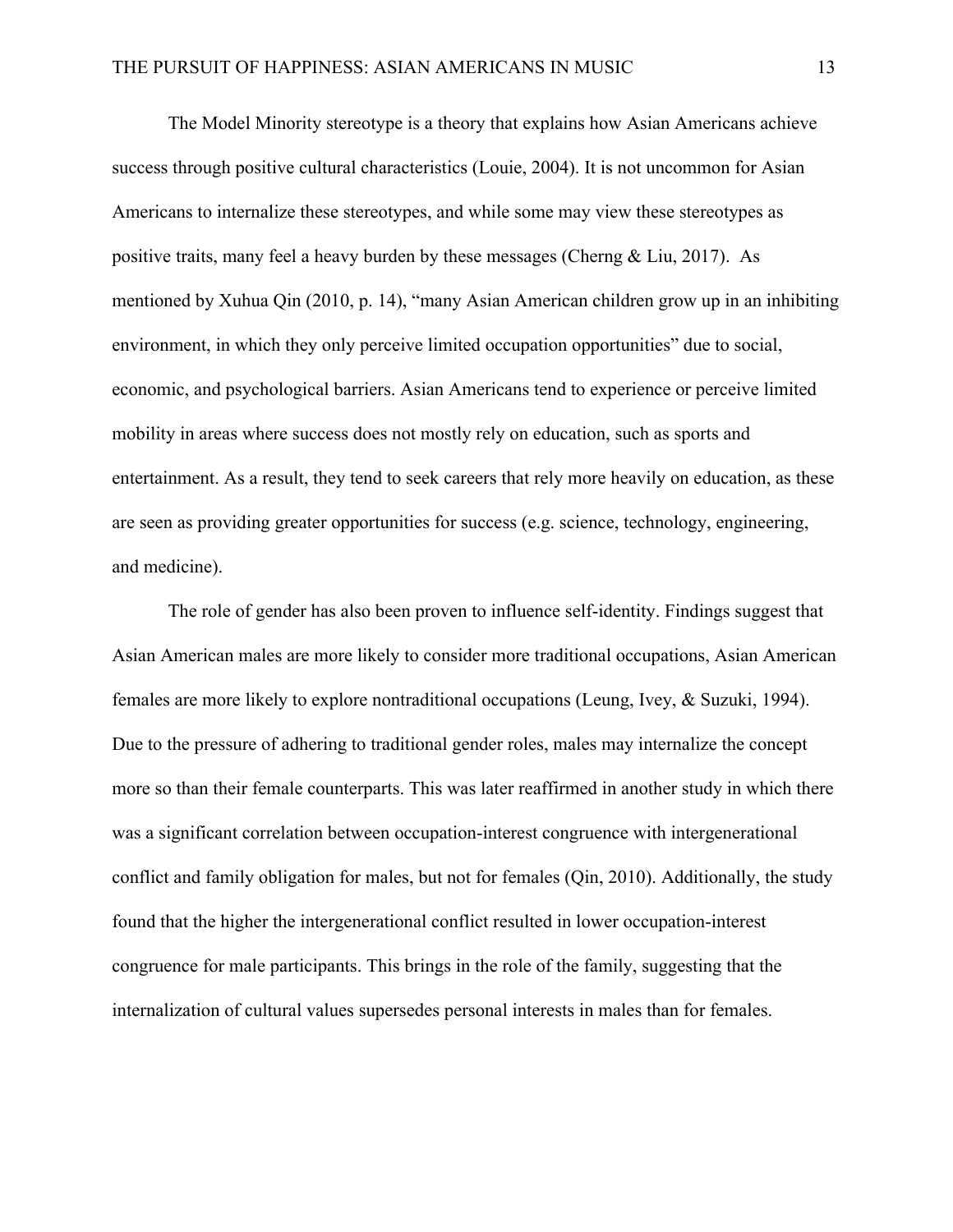The Model Minority stereotype is a theory that explains how Asian Americans achieve success through positive cultural characteristics (Louie, 2004). It is not uncommon for Asian Americans to internalize these stereotypes, and while some may view these stereotypes as positive traits, many feel a heavy burden by these messages (Cherng & Liu, 2017). As mentioned by Xuhua Qin (2010, p. 14), "many Asian American children grow up in an inhibiting environment, in which they only perceive limited occupation opportunities" due to social, economic, and psychological barriers. Asian Americans tend to experience or perceive limited mobility in areas where success does not mostly rely on education, such as sports and entertainment. As a result, they tend to seek careers that rely more heavily on education, as these are seen as providing greater opportunities for success (e.g. science, technology, engineering, and medicine).

The role of gender has also been proven to influence self-identity. Findings suggest that Asian American males are more likely to consider more traditional occupations, Asian American females are more likely to explore nontraditional occupations (Leung, Ivey, & Suzuki, 1994). Due to the pressure of adhering to traditional gender roles, males may internalize the concept more so than their female counterparts. This was later reaffirmed in another study in which there was a significant correlation between occupation-interest congruence with intergenerational conflict and family obligation for males, but not for females (Qin, 2010). Additionally, the study found that the higher the intergenerational conflict resulted in lower occupation-interest congruence for male participants. This brings in the role of the family, suggesting that the internalization of cultural values supersedes personal interests in males than for females.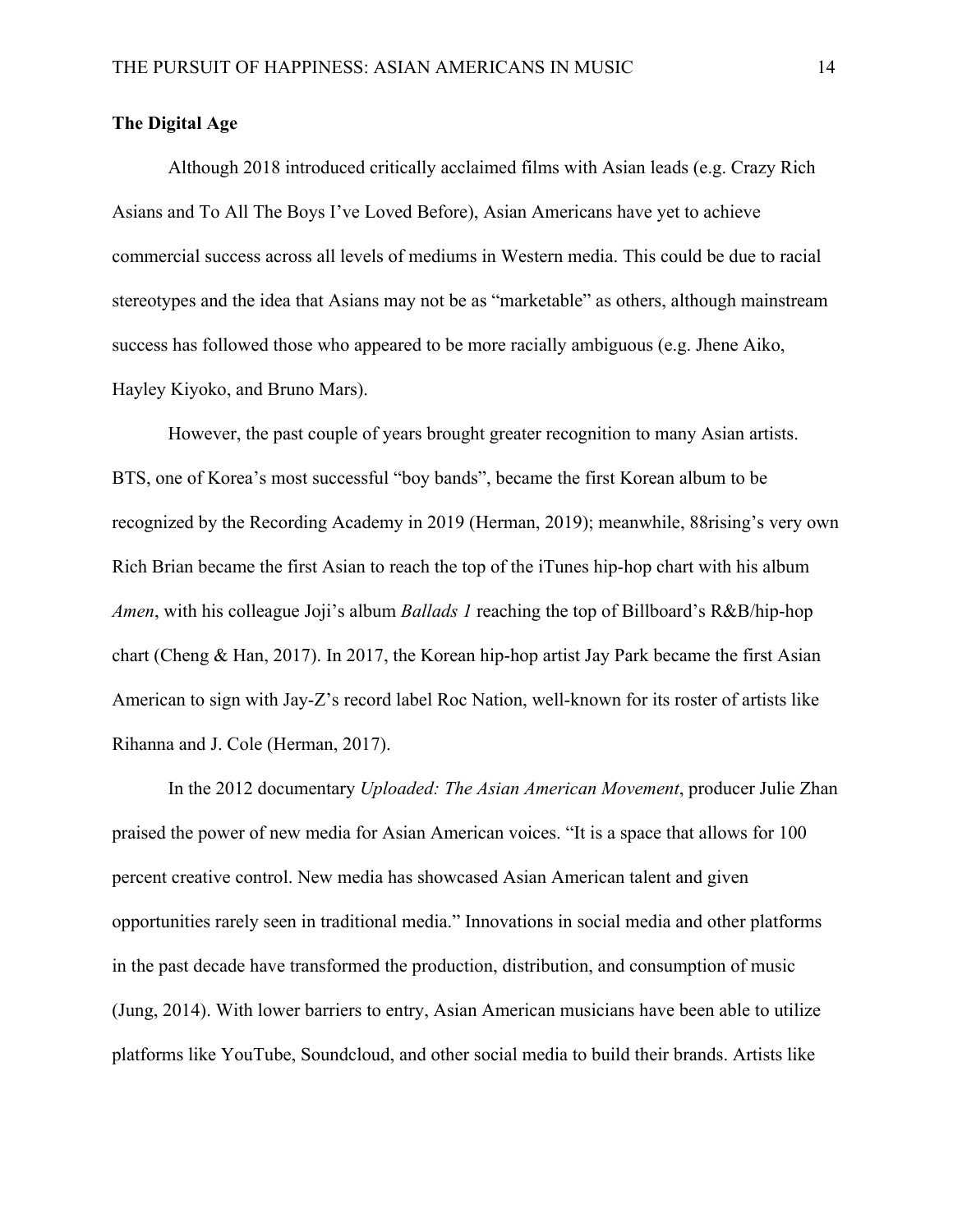### **The Digital Age**

Although 2018 introduced critically acclaimed films with Asian leads (e.g. Crazy Rich Asians and To All The Boys I've Loved Before), Asian Americans have yet to achieve commercial success across all levels of mediums in Western media. This could be due to racial stereotypes and the idea that Asians may not be as "marketable" as others, although mainstream success has followed those who appeared to be more racially ambiguous (e.g. Jhene Aiko, Hayley Kiyoko, and Bruno Mars).

However, the past couple of years brought greater recognition to many Asian artists. BTS, one of Korea's most successful "boy bands", became the first Korean album to be recognized by the Recording Academy in 2019 (Herman, 2019); meanwhile, 88rising's very own Rich Brian became the first Asian to reach the top of the iTunes hip-hop chart with his album *Amen*, with his colleague Joji's album *Ballads 1* reaching the top of Billboard's R&B/hip-hop chart (Cheng & Han, 2017). In 2017, the Korean hip-hop artist Jay Park became the first Asian American to sign with Jay-Z's record label Roc Nation, well-known for its roster of artists like Rihanna and J. Cole (Herman, 2017).

In the 2012 documentary *Uploaded: The Asian American Movement*, producer Julie Zhan praised the power of new media for Asian American voices. "It is a space that allows for 100 percent creative control. New media has showcased Asian American talent and given opportunities rarely seen in traditional media." Innovations in social media and other platforms in the past decade have transformed the production, distribution, and consumption of music (Jung, 2014). With lower barriers to entry, Asian American musicians have been able to utilize platforms like YouTube, Soundcloud, and other social media to build their brands. Artists like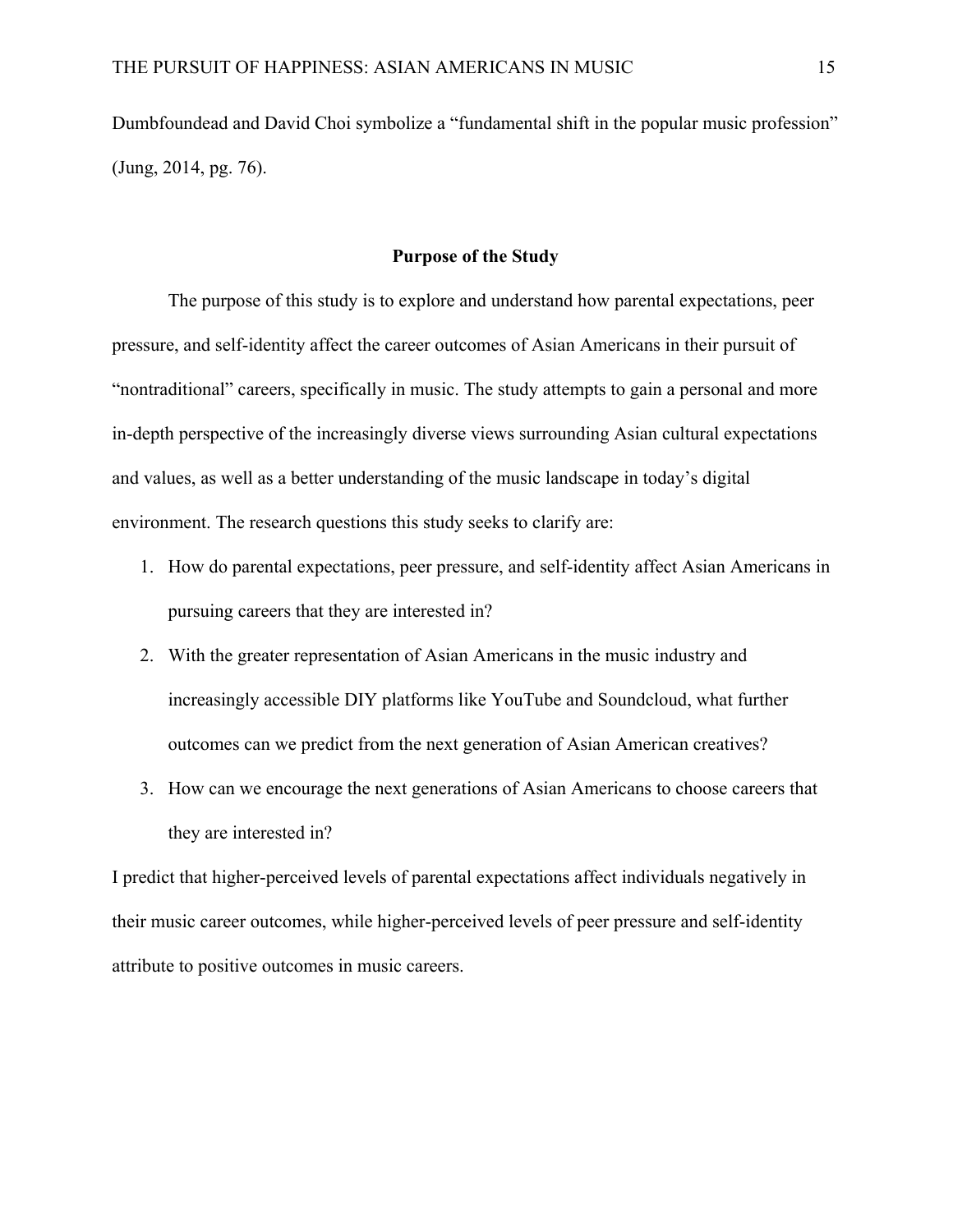Dumbfoundead and David Choi symbolize a "fundamental shift in the popular music profession" (Jung, 2014, pg. 76).

# **Purpose of the Study**

The purpose of this study is to explore and understand how parental expectations, peer pressure, and self-identity affect the career outcomes of Asian Americans in their pursuit of "nontraditional" careers, specifically in music. The study attempts to gain a personal and more in-depth perspective of the increasingly diverse views surrounding Asian cultural expectations and values, as well as a better understanding of the music landscape in today's digital environment. The research questions this study seeks to clarify are:

- 1. How do parental expectations, peer pressure, and self-identity affect Asian Americans in pursuing careers that they are interested in?
- 2. With the greater representation of Asian Americans in the music industry and increasingly accessible DIY platforms like YouTube and Soundcloud, what further outcomes can we predict from the next generation of Asian American creatives?
- 3. How can we encourage the next generations of Asian Americans to choose careers that they are interested in?

I predict that higher-perceived levels of parental expectations affect individuals negatively in their music career outcomes, while higher-perceived levels of peer pressure and self-identity attribute to positive outcomes in music careers.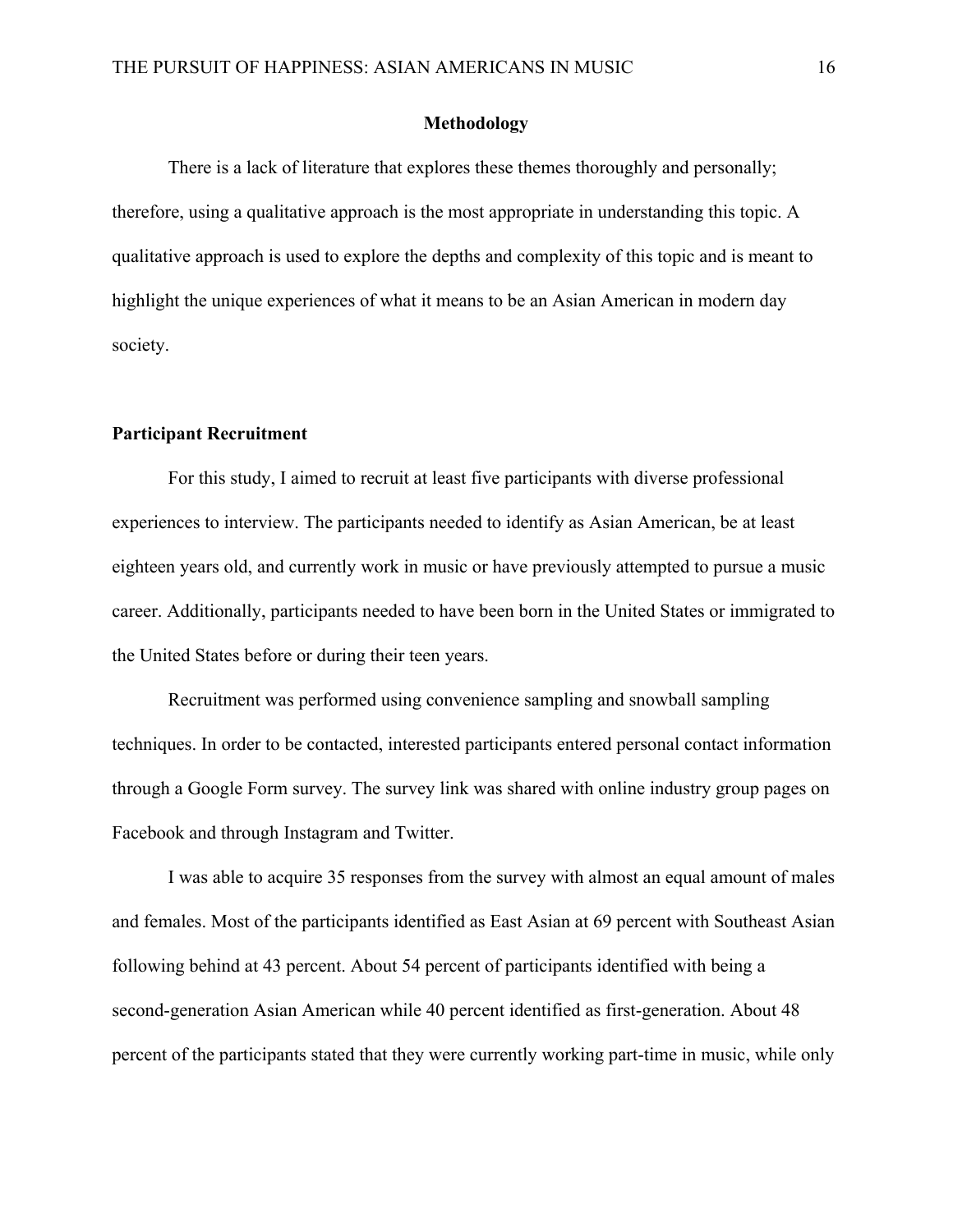#### **Methodology**

There is a lack of literature that explores these themes thoroughly and personally; therefore, using a qualitative approach is the most appropriate in understanding this topic. A qualitative approach is used to explore the depths and complexity of this topic and is meant to highlight the unique experiences of what it means to be an Asian American in modern day society.

#### **Participant Recruitment**

For this study, I aimed to recruit at least five participants with diverse professional experiences to interview. The participants needed to identify as Asian American, be at least eighteen years old, and currently work in music or have previously attempted to pursue a music career. Additionally, participants needed to have been born in the United States or immigrated to the United States before or during their teen years.

Recruitment was performed using convenience sampling and snowball sampling techniques. In order to be contacted, interested participants entered personal contact information through a Google Form survey. The survey link was shared with online industry group pages on Facebook and through Instagram and Twitter.

I was able to acquire 35 responses from the survey with almost an equal amount of males and females. Most of the participants identified as East Asian at 69 percent with Southeast Asian following behind at 43 percent. About 54 percent of participants identified with being a second-generation Asian American while 40 percent identified as first-generation. About 48 percent of the participants stated that they were currently working part-time in music, while only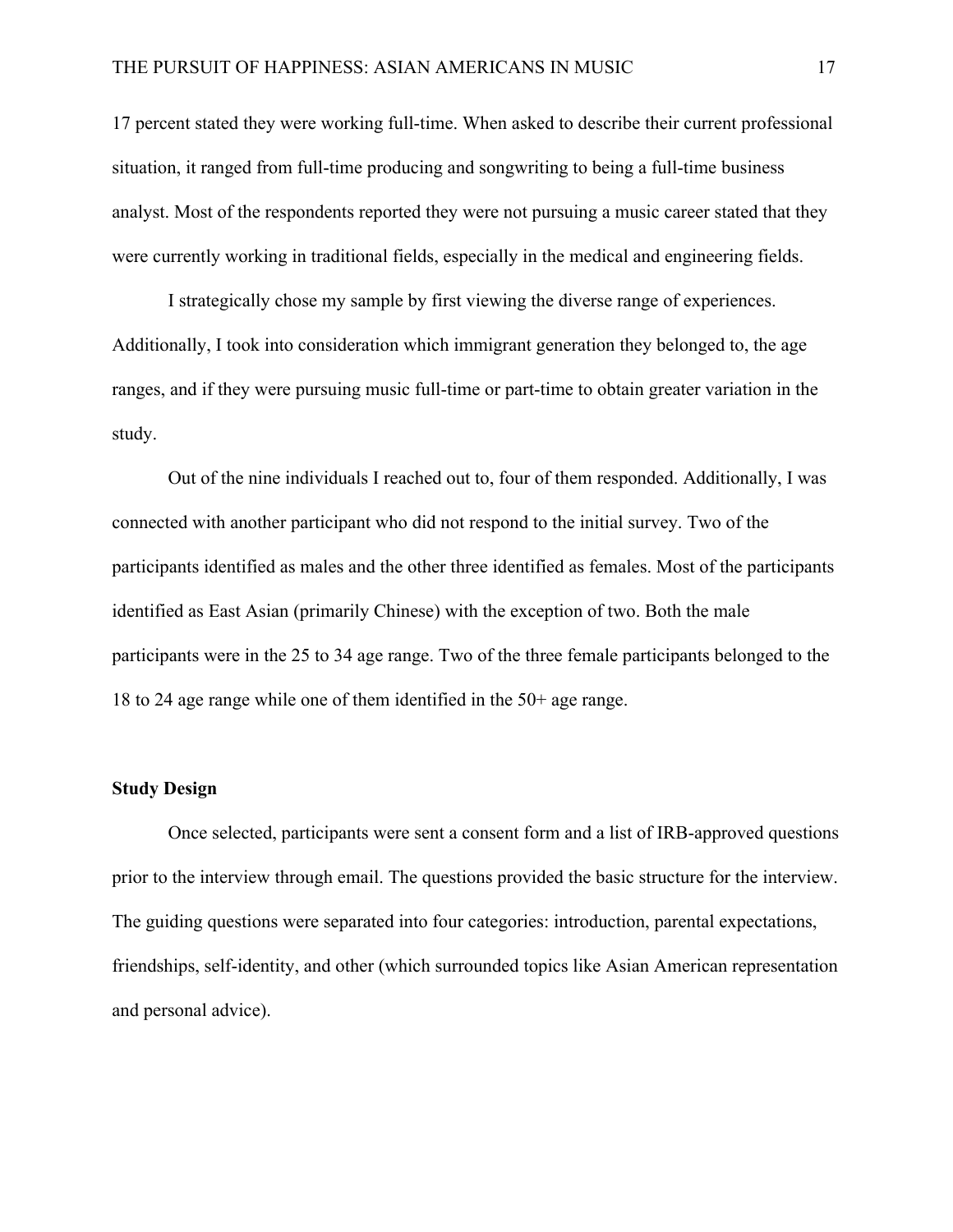17 percent stated they were working full-time. When asked to describe their current professional situation, it ranged from full-time producing and songwriting to being a full-time business analyst. Most of the respondents reported they were not pursuing a music career stated that they were currently working in traditional fields, especially in the medical and engineering fields.

I strategically chose my sample by first viewing the diverse range of experiences. Additionally, I took into consideration which immigrant generation they belonged to, the age ranges, and if they were pursuing music full-time or part-time to obtain greater variation in the study.

Out of the nine individuals I reached out to, four of them responded. Additionally, I was connected with another participant who did not respond to the initial survey. Two of the participants identified as males and the other three identified as females. Most of the participants identified as East Asian (primarily Chinese) with the exception of two. Both the male participants were in the 25 to 34 age range. Two of the three female participants belonged to the 18 to 24 age range while one of them identified in the 50+ age range.

#### **Study Design**

Once selected, participants were sent a consent form and a list of IRB-approved questions prior to the interview through email. The questions provided the basic structure for the interview. The guiding questions were separated into four categories: introduction, parental expectations, friendships, self-identity, and other (which surrounded topics like Asian American representation and personal advice).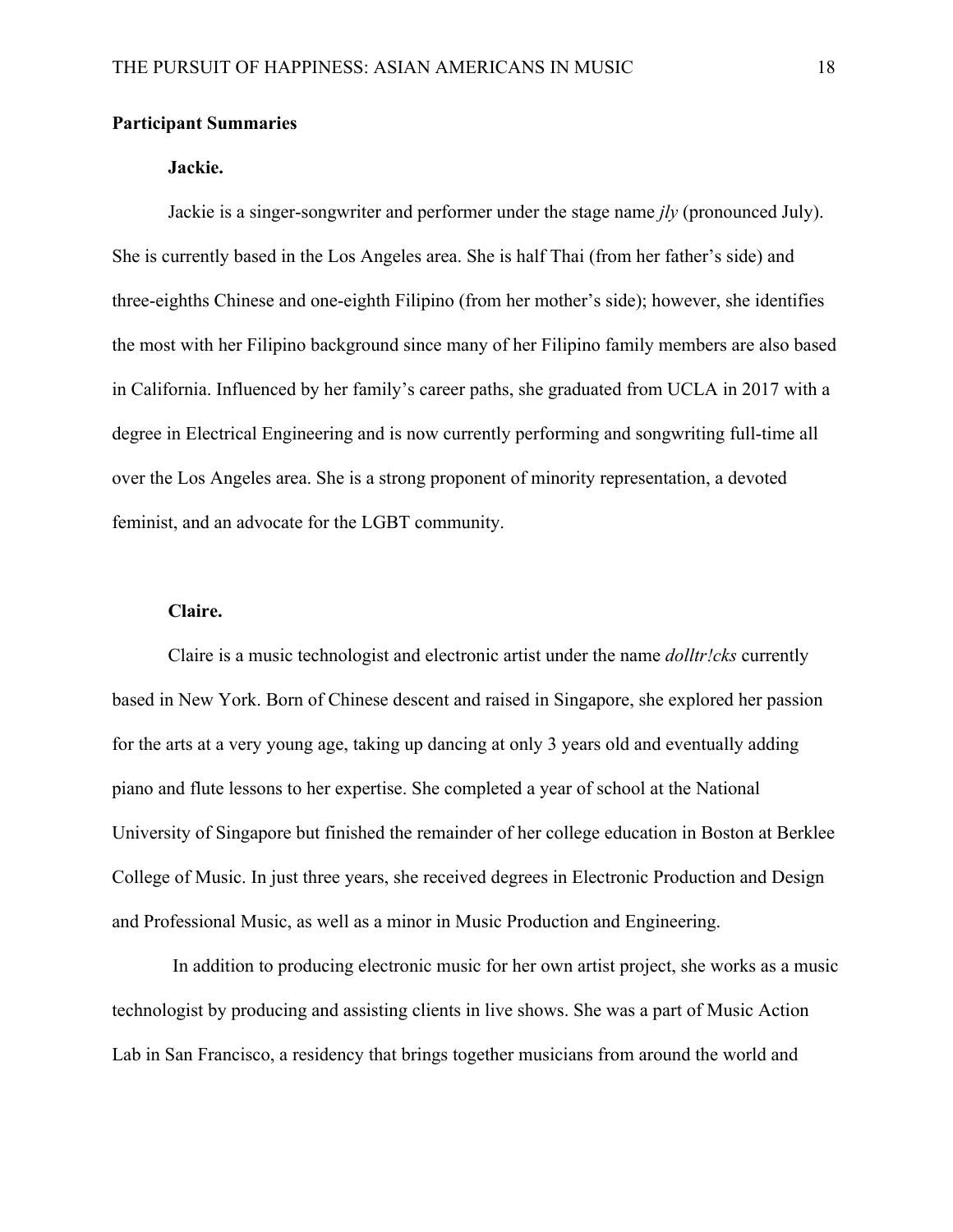#### **Participant Summaries**

### **Jackie.**

Jackie is a singer-songwriter and performer under the stage name *jly* (pronounced July). She is currently based in the Los Angeles area. She is half Thai (from her father's side) and three-eighths Chinese and one-eighth Filipino (from her mother's side); however, she identifies the most with her Filipino background since many of her Filipino family members are also based in California. Influenced by her family's career paths, she graduated from UCLA in 2017 with a degree in Electrical Engineering and is now currently performing and songwriting full-time all over the Los Angeles area. She is a strong proponent of minority representation, a devoted feminist, and an advocate for the LGBT community.

#### **Claire.**

Claire is a music technologist and electronic artist under the name *dolltr!cks* currently based in New York. Born of Chinese descent and raised in Singapore, she explored her passion for the arts at a very young age, taking up dancing at only 3 years old and eventually adding piano and flute lessons to her expertise. She completed a year of school at the National University of Singapore but finished the remainder of her college education in Boston at Berklee College of Music. In just three years, she received degrees in Electronic Production and Design and Professional Music, as well as a minor in Music Production and Engineering.

 In addition to producing electronic music for her own artist project, she works as a music technologist by producing and assisting clients in live shows. She was a part of Music Action Lab in San Francisco, a residency that brings together musicians from around the world and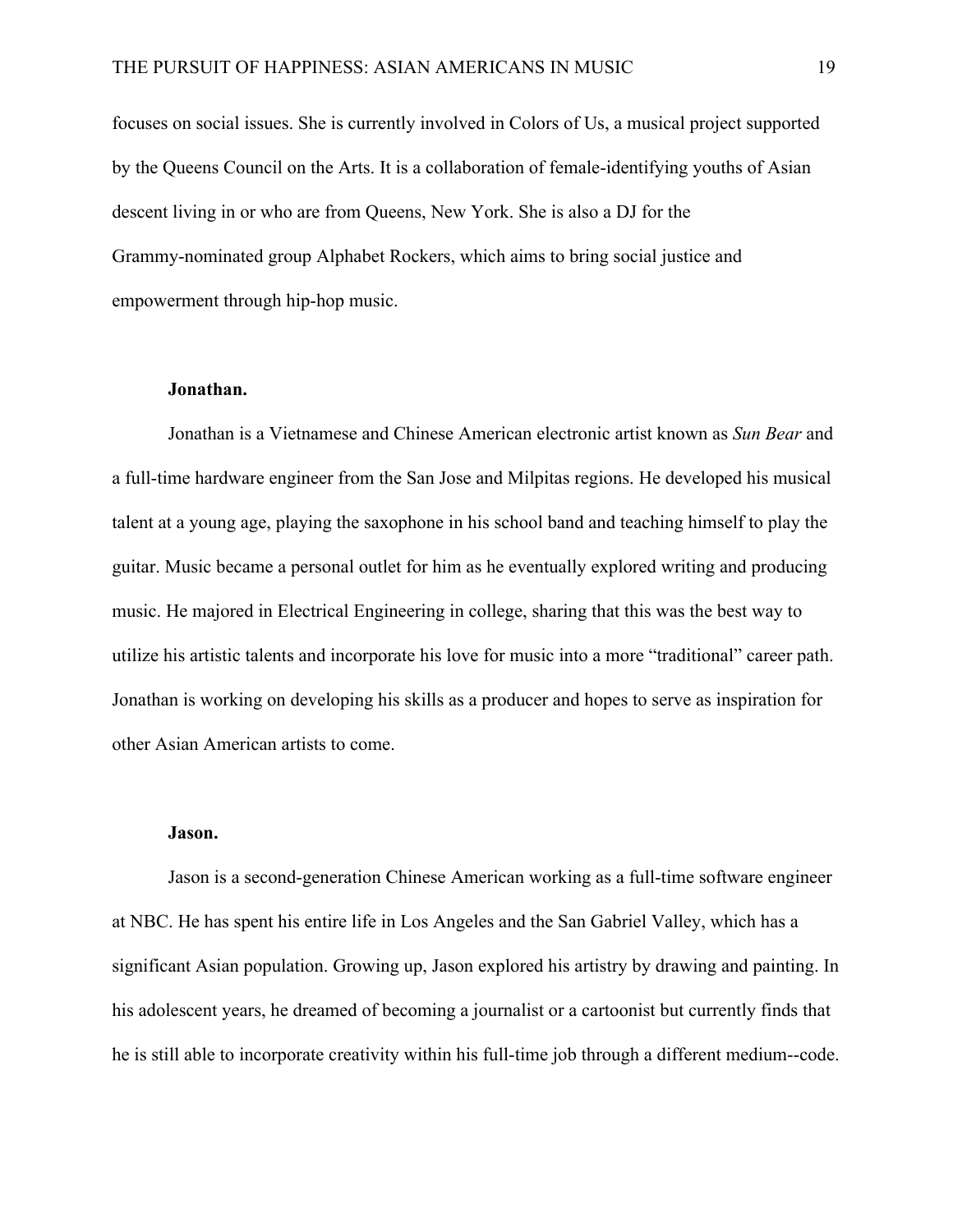focuses on social issues. She is currently involved in Colors of Us, a musical project supported by the Queens Council on the Arts. It is a collaboration of female-identifying youths of Asian descent living in or who are from Queens, New York. She is also a DJ for the Grammy-nominated group Alphabet Rockers, which aims to bring social justice and empowerment through hip-hop music.

#### **Jonathan.**

Jonathan is a Vietnamese and Chinese American electronic artist known as *Sun Bear* and a full-time hardware engineer from the San Jose and Milpitas regions. He developed his musical talent at a young age, playing the saxophone in his school band and teaching himself to play the guitar. Music became a personal outlet for him as he eventually explored writing and producing music. He majored in Electrical Engineering in college, sharing that this was the best way to utilize his artistic talents and incorporate his love for music into a more "traditional" career path. Jonathan is working on developing his skills as a producer and hopes to serve as inspiration for other Asian American artists to come.

#### **Jason.**

Jason is a second-generation Chinese American working as a full-time software engineer at NBC. He has spent his entire life in Los Angeles and the San Gabriel Valley, which has a significant Asian population. Growing up, Jason explored his artistry by drawing and painting. In his adolescent years, he dreamed of becoming a journalist or a cartoonist but currently finds that he is still able to incorporate creativity within his full-time job through a different medium--code.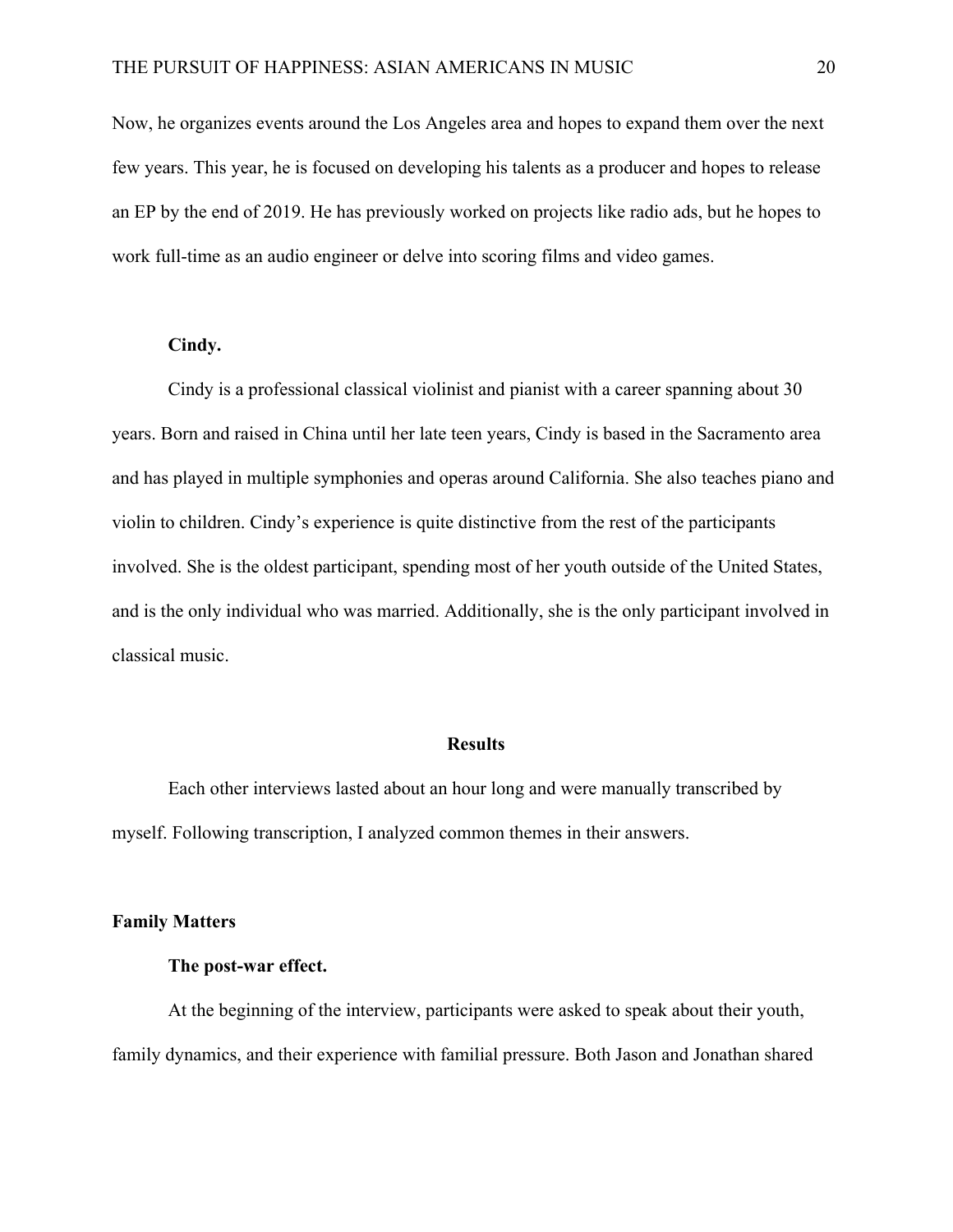Now, he organizes events around the Los Angeles area and hopes to expand them over the next few years. This year, he is focused on developing his talents as a producer and hopes to release an EP by the end of 2019. He has previously worked on projects like radio ads, but he hopes to work full-time as an audio engineer or delve into scoring films and video games.

# **Cindy.**

Cindy is a professional classical violinist and pianist with a career spanning about 30 years. Born and raised in China until her late teen years, Cindy is based in the Sacramento area and has played in multiple symphonies and operas around California. She also teaches piano and violin to children. Cindy's experience is quite distinctive from the rest of the participants involved. She is the oldest participant, spending most of her youth outside of the United States, and is the only individual who was married. Additionally, she is the only participant involved in classical music.

# **Results**

Each other interviews lasted about an hour long and were manually transcribed by myself. Following transcription, I analyzed common themes in their answers.

#### **Family Matters**

# **The post-war effect.**

At the beginning of the interview, participants were asked to speak about their youth, family dynamics, and their experience with familial pressure. Both Jason and Jonathan shared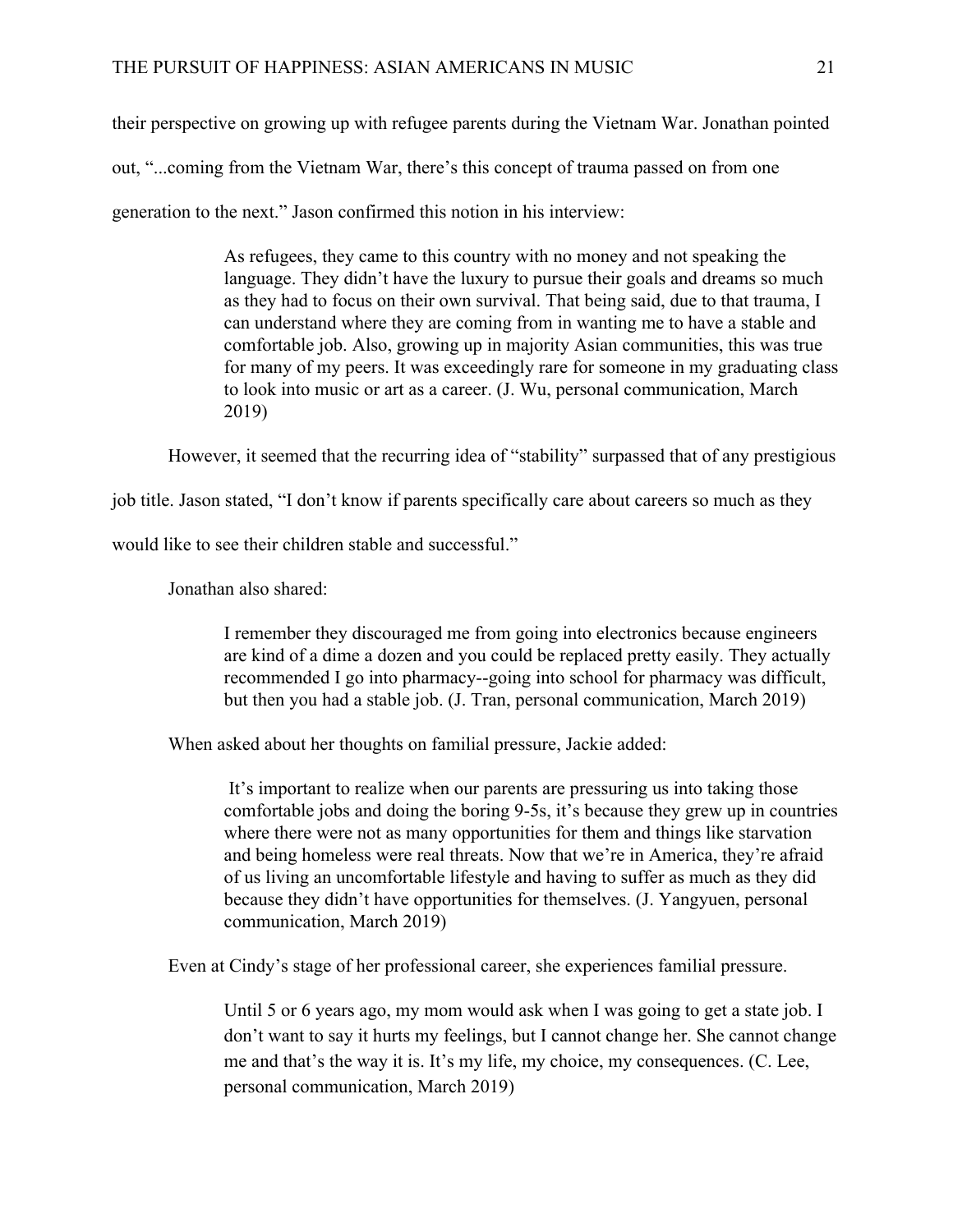their perspective on growing up with refugee parents during the Vietnam War. Jonathan pointed out, "...coming from the Vietnam War, there's this concept of trauma passed on from one generation to the next." Jason confirmed this notion in his interview:

> As refugees, they came to this country with no money and not speaking the language. They didn't have the luxury to pursue their goals and dreams so much as they had to focus on their own survival. That being said, due to that trauma, I can understand where they are coming from in wanting me to have a stable and comfortable job. Also, growing up in majority Asian communities, this was true for many of my peers. It was exceedingly rare for someone in my graduating class to look into music or art as a career. (J. Wu, personal communication, March 2019)

However, it seemed that the recurring idea of "stability" surpassed that of any prestigious

job title. Jason stated, "I don't know if parents specifically care about careers so much as they

would like to see their children stable and successful."

Jonathan also shared:

I remember they discouraged me from going into electronics because engineers are kind of a dime a dozen and you could be replaced pretty easily. They actually recommended I go into pharmacy--going into school for pharmacy was difficult, but then you had a stable job. (J. Tran, personal communication, March 2019)

When asked about her thoughts on familial pressure, Jackie added:

 It's important to realize when our parents are pressuring us into taking those comfortable jobs and doing the boring 9-5s, it's because they grew up in countries where there were not as many opportunities for them and things like starvation and being homeless were real threats. Now that we're in America, they're afraid of us living an uncomfortable lifestyle and having to suffer as much as they did because they didn't have opportunities for themselves. (J. Yangyuen, personal communication, March 2019)

Even at Cindy's stage of her professional career, she experiences familial pressure.

Until 5 or 6 years ago, my mom would ask when I was going to get a state job. I don't want to say it hurts my feelings, but I cannot change her. She cannot change me and that's the way it is. It's my life, my choice, my consequences. (C. Lee, personal communication, March 2019)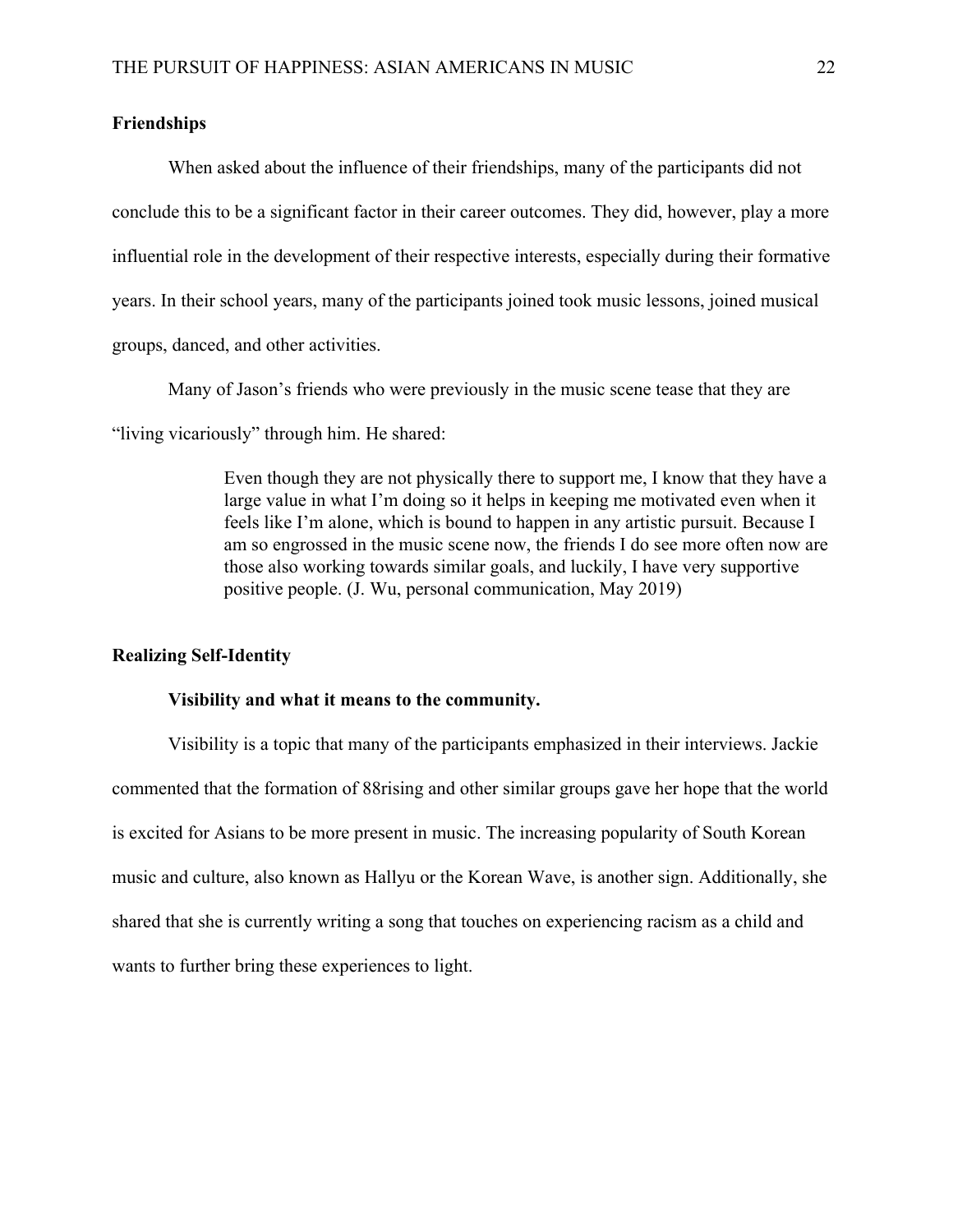# **Friendships**

When asked about the influence of their friendships, many of the participants did not conclude this to be a significant factor in their career outcomes. They did, however, play a more influential role in the development of their respective interests, especially during their formative years. In their school years, many of the participants joined took music lessons, joined musical groups, danced, and other activities.

Many of Jason's friends who were previously in the music scene tease that they are

"living vicariously" through him. He shared:

Even though they are not physically there to support me, I know that they have a large value in what I'm doing so it helps in keeping me motivated even when it feels like I'm alone, which is bound to happen in any artistic pursuit. Because I am so engrossed in the music scene now, the friends I do see more often now are those also working towards similar goals, and luckily, I have very supportive positive people. (J. Wu, personal communication, May 2019)

#### **Realizing Self-Identity**

### **Visibility and what it means to the community.**

Visibility is a topic that many of the participants emphasized in their interviews. Jackie commented that the formation of 88rising and other similar groups gave her hope that the world is excited for Asians to be more present in music. The increasing popularity of South Korean music and culture, also known as Hallyu or the Korean Wave, is another sign. Additionally, she shared that she is currently writing a song that touches on experiencing racism as a child and wants to further bring these experiences to light.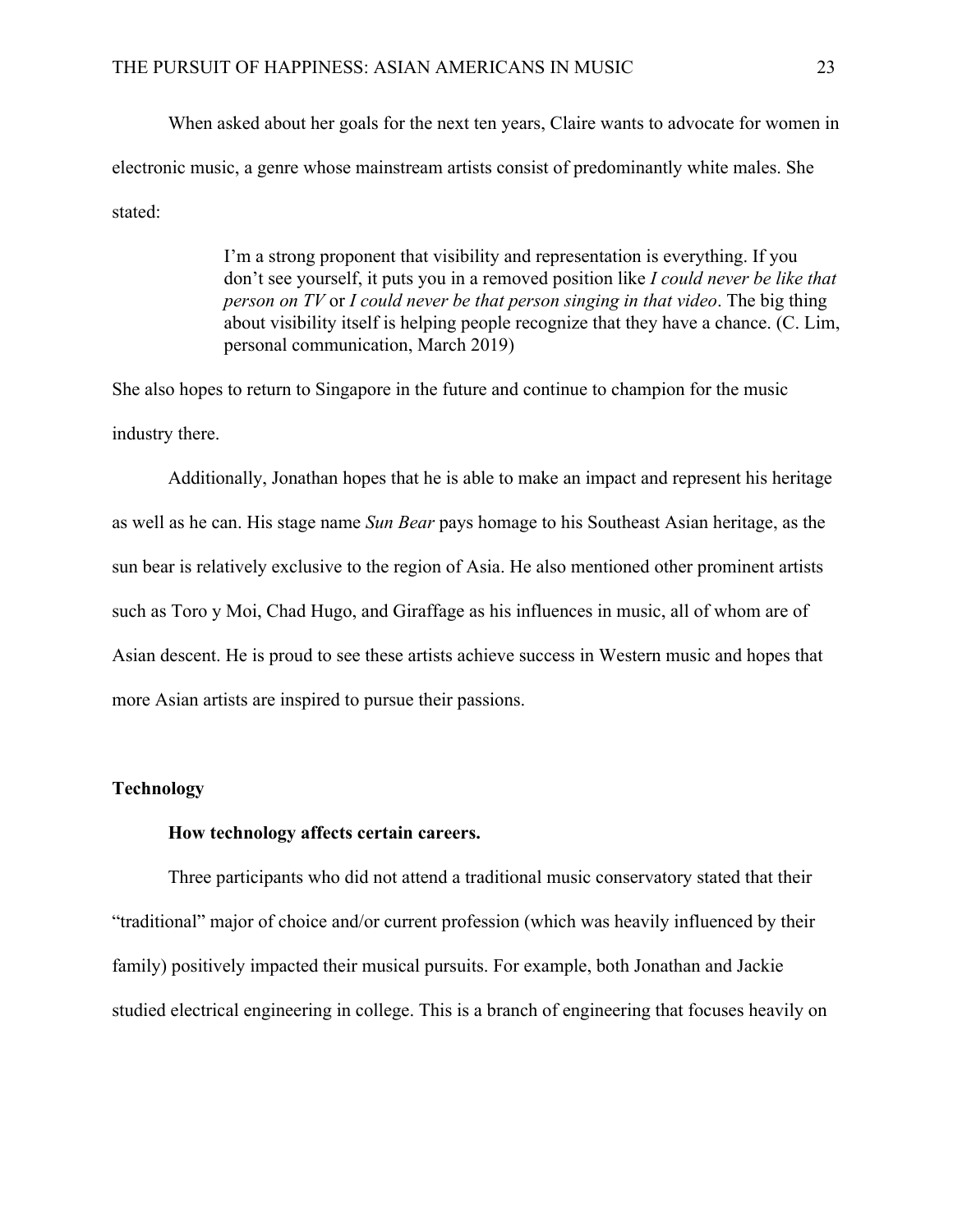When asked about her goals for the next ten years, Claire wants to advocate for women in electronic music, a genre whose mainstream artists consist of predominantly white males. She stated:

> I'm a strong proponent that visibility and representation is everything. If you don't see yourself, it puts you in a removed position like *I could never be like that person on TV* or *I could never be that person singing in that video*. The big thing about visibility itself is helping people recognize that they have a chance. (C. Lim, personal communication, March 2019)

She also hopes to return to Singapore in the future and continue to champion for the music industry there.

Additionally, Jonathan hopes that he is able to make an impact and represent his heritage as well as he can. His stage name *Sun Bear* pays homage to his Southeast Asian heritage, as the sun bear is relatively exclusive to the region of Asia. He also mentioned other prominent artists such as Toro y Moi, Chad Hugo, and Giraffage as his influences in music, all of whom are of Asian descent. He is proud to see these artists achieve success in Western music and hopes that more Asian artists are inspired to pursue their passions.

# **Technology**

#### **How technology affects certain careers.**

Three participants who did not attend a traditional music conservatory stated that their "traditional" major of choice and/or current profession (which was heavily influenced by their family) positively impacted their musical pursuits. For example, both Jonathan and Jackie studied electrical engineering in college. This is a branch of engineering that focuses heavily on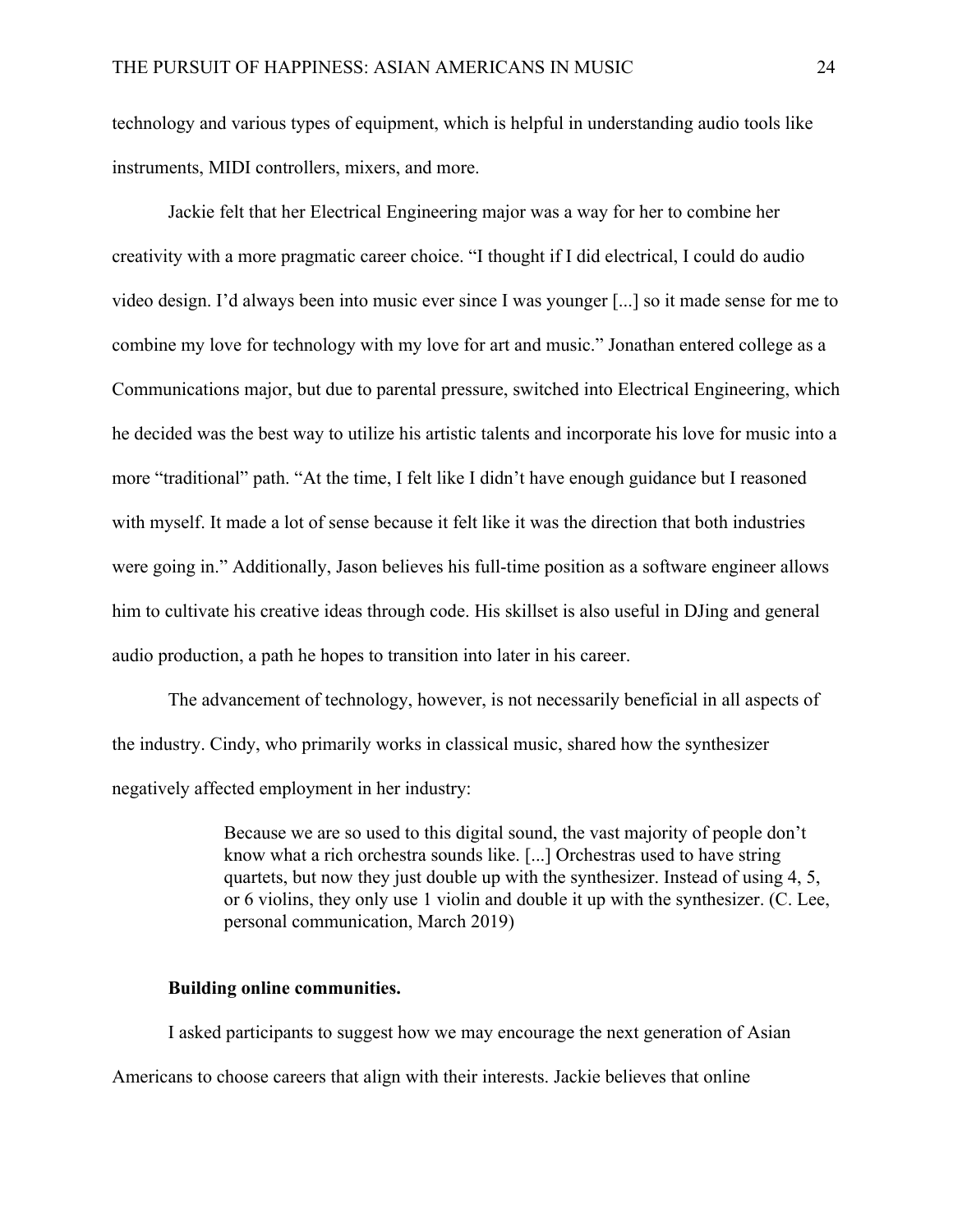technology and various types of equipment, which is helpful in understanding audio tools like instruments, MIDI controllers, mixers, and more.

Jackie felt that her Electrical Engineering major was a way for her to combine her creativity with a more pragmatic career choice. "I thought if I did electrical, I could do audio video design. I'd always been into music ever since I was younger [...] so it made sense for me to combine my love for technology with my love for art and music." Jonathan entered college as a Communications major, but due to parental pressure, switched into Electrical Engineering, which he decided was the best way to utilize his artistic talents and incorporate his love for music into a more "traditional" path. "At the time, I felt like I didn't have enough guidance but I reasoned with myself. It made a lot of sense because it felt like it was the direction that both industries were going in." Additionally, Jason believes his full-time position as a software engineer allows him to cultivate his creative ideas through code. His skillset is also useful in DJing and general audio production, a path he hopes to transition into later in his career.

The advancement of technology, however, is not necessarily beneficial in all aspects of the industry. Cindy, who primarily works in classical music, shared how the synthesizer negatively affected employment in her industry:

> Because we are so used to this digital sound, the vast majority of people don't know what a rich orchestra sounds like. [...] Orchestras used to have string quartets, but now they just double up with the synthesizer. Instead of using 4, 5, or 6 violins, they only use 1 violin and double it up with the synthesizer. (C. Lee, personal communication, March 2019)

# **Building online communities.**

I asked participants to suggest how we may encourage the next generation of Asian Americans to choose careers that align with their interests. Jackie believes that online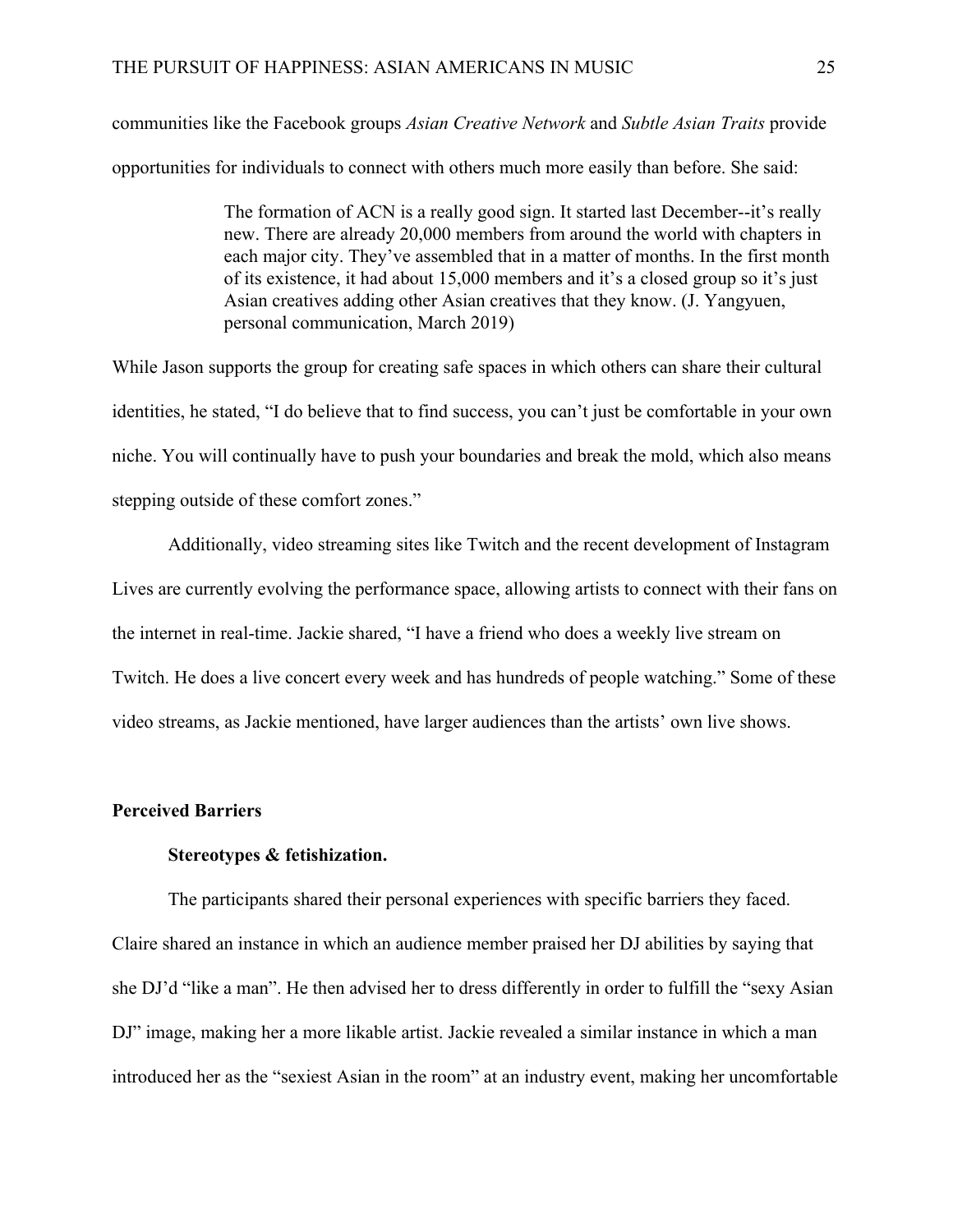communities like the Facebook groups *Asian Creative Network* and *Subtle Asian Traits* provide opportunities for individuals to connect with others much more easily than before. She said:

> The formation of ACN is a really good sign. It started last December--it's really new. There are already 20,000 members from around the world with chapters in each major city. They've assembled that in a matter of months. In the first month of its existence, it had about 15,000 members and it's a closed group so it's just Asian creatives adding other Asian creatives that they know. (J. Yangyuen, personal communication, March 2019)

While Jason supports the group for creating safe spaces in which others can share their cultural identities, he stated, "I do believe that to find success, you can't just be comfortable in your own niche. You will continually have to push your boundaries and break the mold, which also means stepping outside of these comfort zones."

Additionally, video streaming sites like Twitch and the recent development of Instagram Lives are currently evolving the performance space, allowing artists to connect with their fans on the internet in real-time. Jackie shared, "I have a friend who does a weekly live stream on Twitch. He does a live concert every week and has hundreds of people watching." Some of these video streams, as Jackie mentioned, have larger audiences than the artists' own live shows.

#### **Perceived Barriers**

# **Stereotypes & fetishization.**

The participants shared their personal experiences with specific barriers they faced. Claire shared an instance in which an audience member praised her DJ abilities by saying that she DJ'd "like a man". He then advised her to dress differently in order to fulfill the "sexy Asian DJ" image, making her a more likable artist. Jackie revealed a similar instance in which a man introduced her as the "sexiest Asian in the room" at an industry event, making her uncomfortable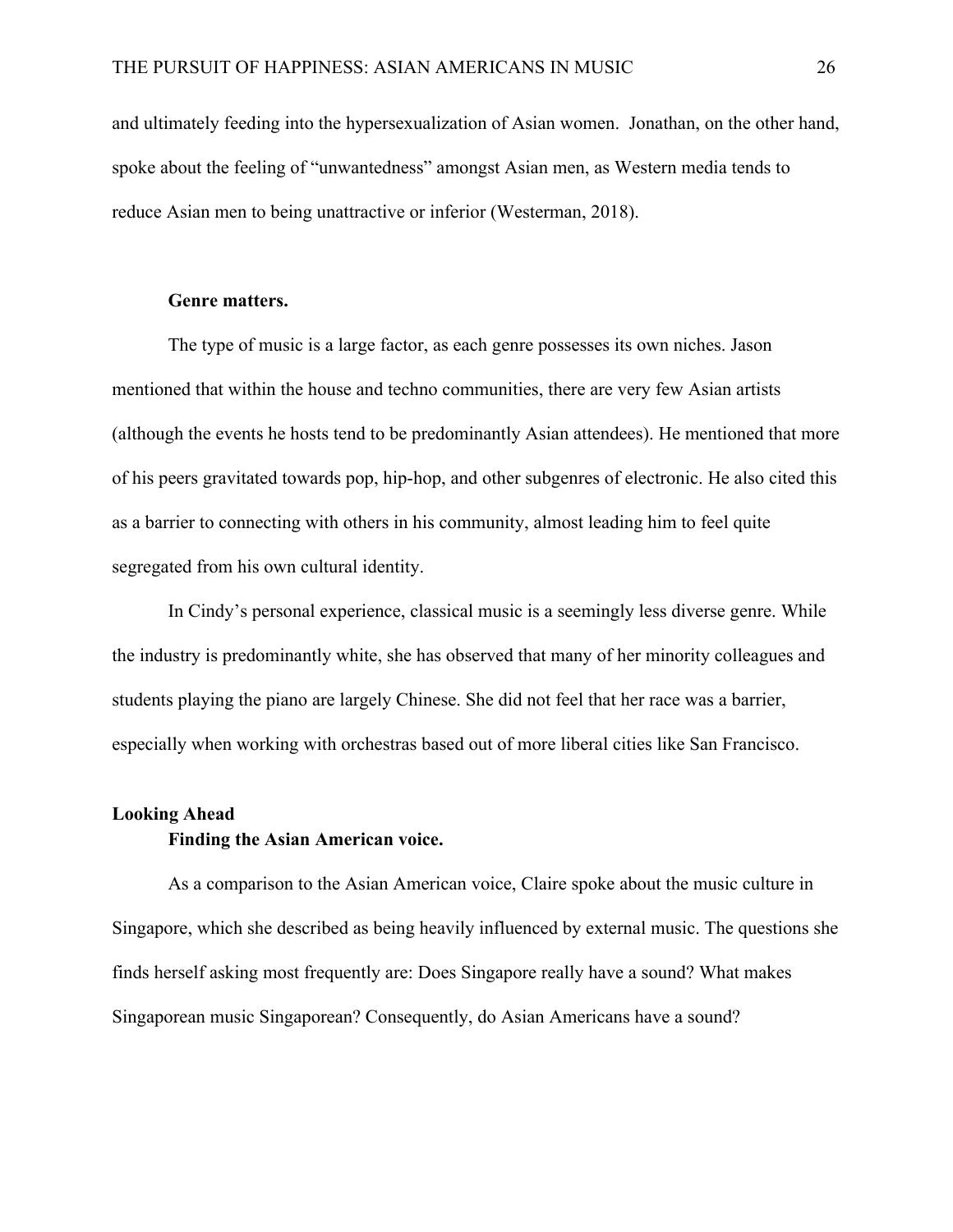and ultimately feeding into the hypersexualization of Asian women. Jonathan, on the other hand, spoke about the feeling of "unwantedness" amongst Asian men, as Western media tends to reduce Asian men to being unattractive or inferior (Westerman, 2018).

#### **Genre matters.**

The type of music is a large factor, as each genre possesses its own niches. Jason mentioned that within the house and techno communities, there are very few Asian artists (although the events he hosts tend to be predominantly Asian attendees). He mentioned that more of his peers gravitated towards pop, hip-hop, and other subgenres of electronic. He also cited this as a barrier to connecting with others in his community, almost leading him to feel quite segregated from his own cultural identity.

In Cindy's personal experience, classical music is a seemingly less diverse genre. While the industry is predominantly white, she has observed that many of her minority colleagues and students playing the piano are largely Chinese. She did not feel that her race was a barrier, especially when working with orchestras based out of more liberal cities like San Francisco.

# **Looking Ahead**

# **Finding the Asian American voice.**

As a comparison to the Asian American voice, Claire spoke about the music culture in Singapore, which she described as being heavily influenced by external music. The questions she finds herself asking most frequently are: Does Singapore really have a sound? What makes Singaporean music Singaporean? Consequently, do Asian Americans have a sound?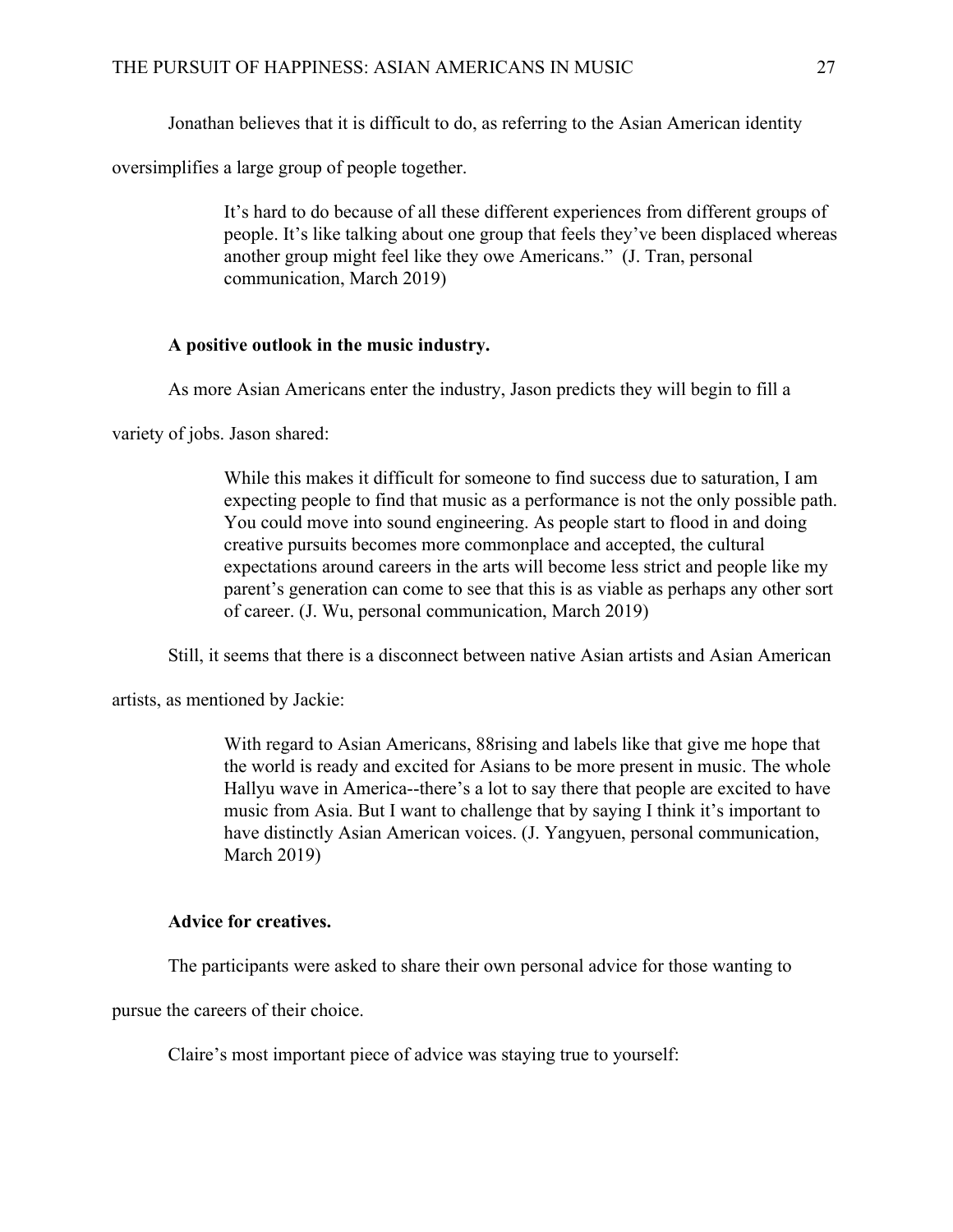Jonathan believes that it is difficult to do, as referring to the Asian American identity

oversimplifies a large group of people together.

It's hard to do because of all these different experiences from different groups of people. It's like talking about one group that feels they've been displaced whereas another group might feel like they owe Americans." (J. Tran, personal communication, March 2019)

# **A positive outlook in the music industry.**

As more Asian Americans enter the industry, Jason predicts they will begin to fill a

variety of jobs. Jason shared:

While this makes it difficult for someone to find success due to saturation, I am expecting people to find that music as a performance is not the only possible path. You could move into sound engineering. As people start to flood in and doing creative pursuits becomes more commonplace and accepted, the cultural expectations around careers in the arts will become less strict and people like my parent's generation can come to see that this is as viable as perhaps any other sort of career. (J. Wu, personal communication, March 2019)

Still, it seems that there is a disconnect between native Asian artists and Asian American

artists, as mentioned by Jackie:

With regard to Asian Americans, 88rising and labels like that give me hope that the world is ready and excited for Asians to be more present in music. The whole Hallyu wave in America--there's a lot to say there that people are excited to have music from Asia. But I want to challenge that by saying I think it's important to have distinctly Asian American voices. (J. Yangyuen, personal communication, March 2019)

## **Advice for creatives.**

The participants were asked to share their own personal advice for those wanting to

pursue the careers of their choice.

Claire's most important piece of advice was staying true to yourself: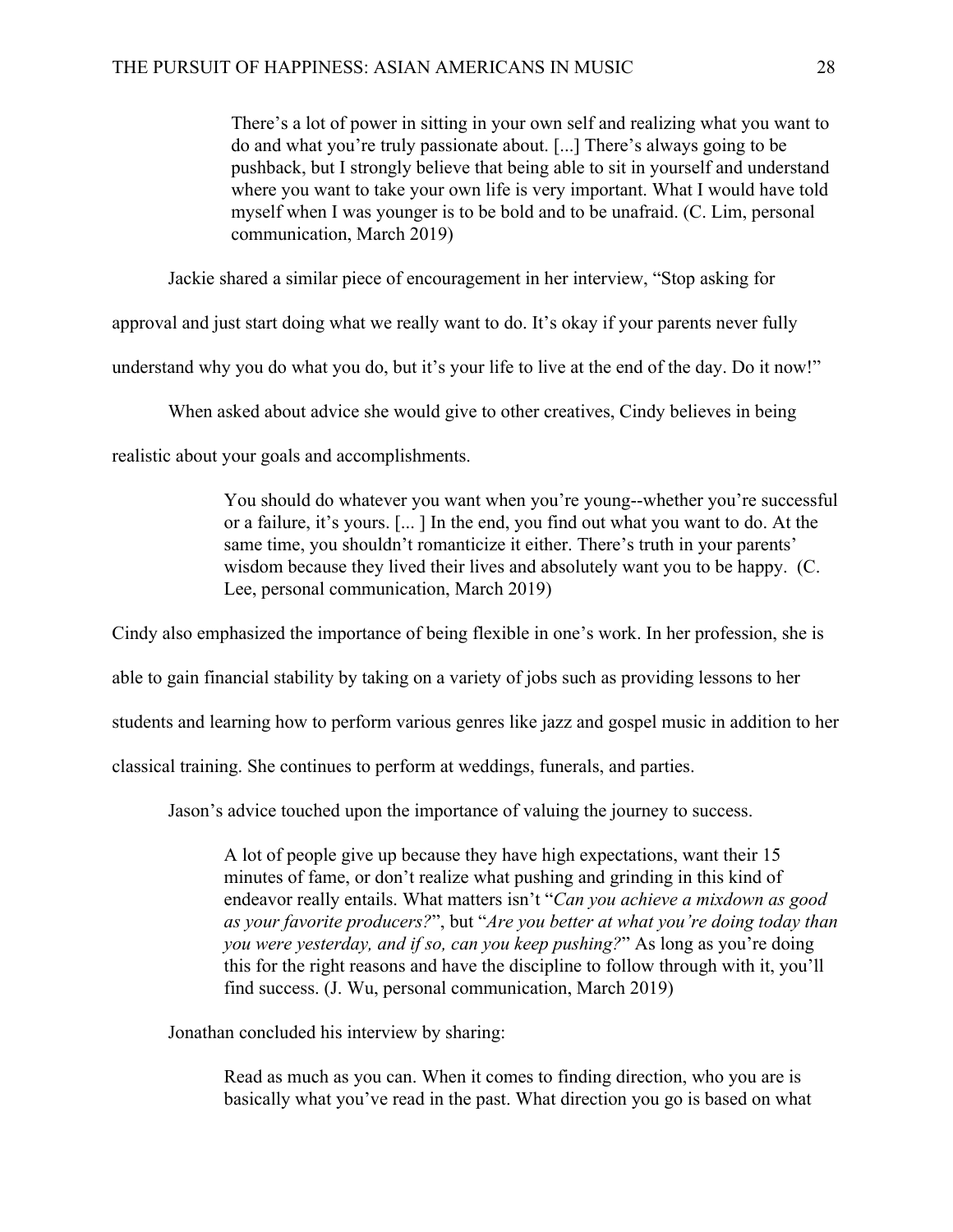There's a lot of power in sitting in your own self and realizing what you want to do and what you're truly passionate about. [...] There's always going to be pushback, but I strongly believe that being able to sit in yourself and understand where you want to take your own life is very important. What I would have told myself when I was younger is to be bold and to be unafraid. (C. Lim, personal communication, March 2019)

Jackie shared a similar piece of encouragement in her interview, "Stop asking for

approval and just start doing what we really want to do. It's okay if your parents never fully

understand why you do what you do, but it's your life to live at the end of the day. Do it now!"

When asked about advice she would give to other creatives, Cindy believes in being

realistic about your goals and accomplishments.

You should do whatever you want when you're young--whether you're successful or a failure, it's yours. [... ] In the end, you find out what you want to do. At the same time, you shouldn't romanticize it either. There's truth in your parents' wisdom because they lived their lives and absolutely want you to be happy. (C. Lee, personal communication, March 2019)

Cindy also emphasized the importance of being flexible in one's work. In her profession, she is

able to gain financial stability by taking on a variety of jobs such as providing lessons to her

students and learning how to perform various genres like jazz and gospel music in addition to her

classical training. She continues to perform at weddings, funerals, and parties.

Jason's advice touched upon the importance of valuing the journey to success.

A lot of people give up because they have high expectations, want their 15 minutes of fame, or don't realize what pushing and grinding in this kind of endeavor really entails. What matters isn't "*Can you achieve a mixdown as good as your favorite producers?*", but "*Are you better at what you're doing today than you were yesterday, and if so, can you keep pushing?*" As long as you're doing this for the right reasons and have the discipline to follow through with it, you'll find success. (J. Wu, personal communication, March 2019)

Jonathan concluded his interview by sharing:

Read as much as you can. When it comes to finding direction, who you are is basically what you've read in the past. What direction you go is based on what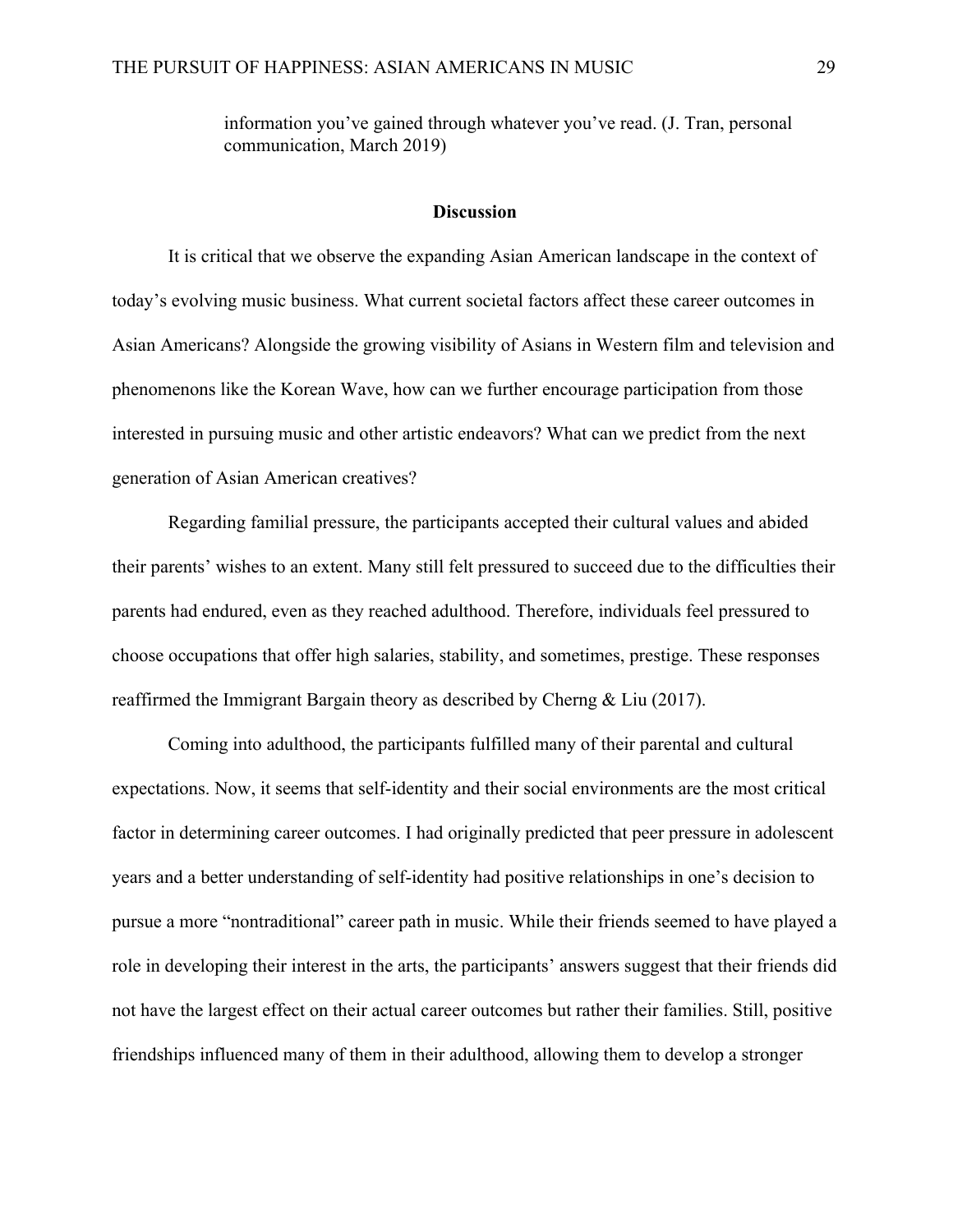information you've gained through whatever you've read. (J. Tran, personal communication, March 2019)

#### **Discussion**

It is critical that we observe the expanding Asian American landscape in the context of today's evolving music business. What current societal factors affect these career outcomes in Asian Americans? Alongside the growing visibility of Asians in Western film and television and phenomenons like the Korean Wave, how can we further encourage participation from those interested in pursuing music and other artistic endeavors? What can we predict from the next generation of Asian American creatives?

Regarding familial pressure, the participants accepted their cultural values and abided their parents' wishes to an extent. Many still felt pressured to succeed due to the difficulties their parents had endured, even as they reached adulthood. Therefore, individuals feel pressured to choose occupations that offer high salaries, stability, and sometimes, prestige. These responses reaffirmed the Immigrant Bargain theory as described by Cherng & Liu (2017).

Coming into adulthood, the participants fulfilled many of their parental and cultural expectations. Now, it seems that self-identity and their social environments are the most critical factor in determining career outcomes. I had originally predicted that peer pressure in adolescent years and a better understanding of self-identity had positive relationships in one's decision to pursue a more "nontraditional" career path in music. While their friends seemed to have played a role in developing their interest in the arts, the participants' answers suggest that their friends did not have the largest effect on their actual career outcomes but rather their families. Still, positive friendships influenced many of them in their adulthood, allowing them to develop a stronger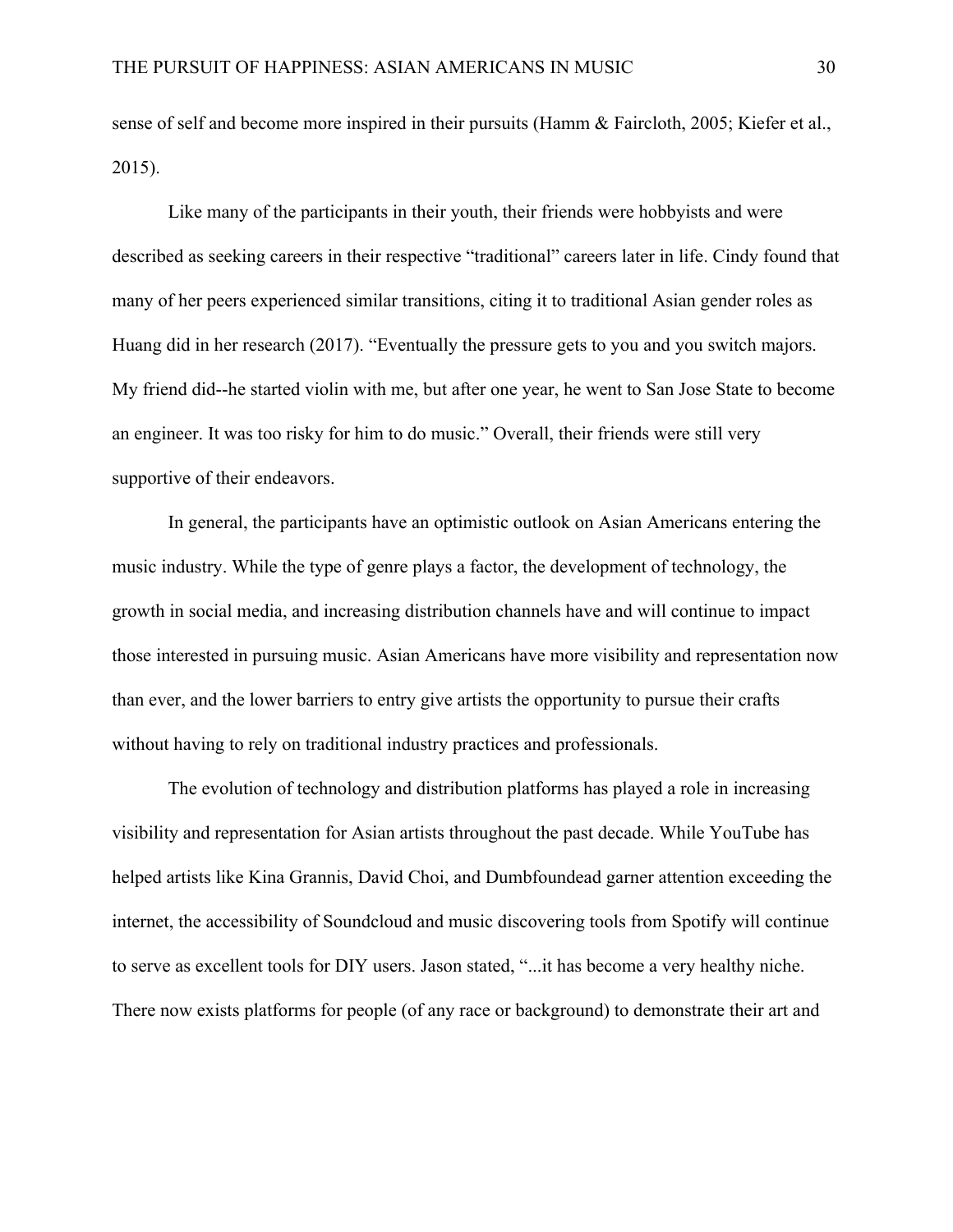sense of self and become more inspired in their pursuits (Hamm & Faircloth, 2005; Kiefer et al., 2015).

Like many of the participants in their youth, their friends were hobbyists and were described as seeking careers in their respective "traditional" careers later in life. Cindy found that many of her peers experienced similar transitions, citing it to traditional Asian gender roles as Huang did in her research (2017). "Eventually the pressure gets to you and you switch majors. My friend did--he started violin with me, but after one year, he went to San Jose State to become an engineer. It was too risky for him to do music." Overall, their friends were still very supportive of their endeavors.

In general, the participants have an optimistic outlook on Asian Americans entering the music industry. While the type of genre plays a factor, the development of technology, the growth in social media, and increasing distribution channels have and will continue to impact those interested in pursuing music. Asian Americans have more visibility and representation now than ever, and the lower barriers to entry give artists the opportunity to pursue their crafts without having to rely on traditional industry practices and professionals.

The evolution of technology and distribution platforms has played a role in increasing visibility and representation for Asian artists throughout the past decade. While YouTube has helped artists like Kina Grannis, David Choi, and Dumbfoundead garner attention exceeding the internet, the accessibility of Soundcloud and music discovering tools from Spotify will continue to serve as excellent tools for DIY users. Jason stated, "...it has become a very healthy niche. There now exists platforms for people (of any race or background) to demonstrate their art and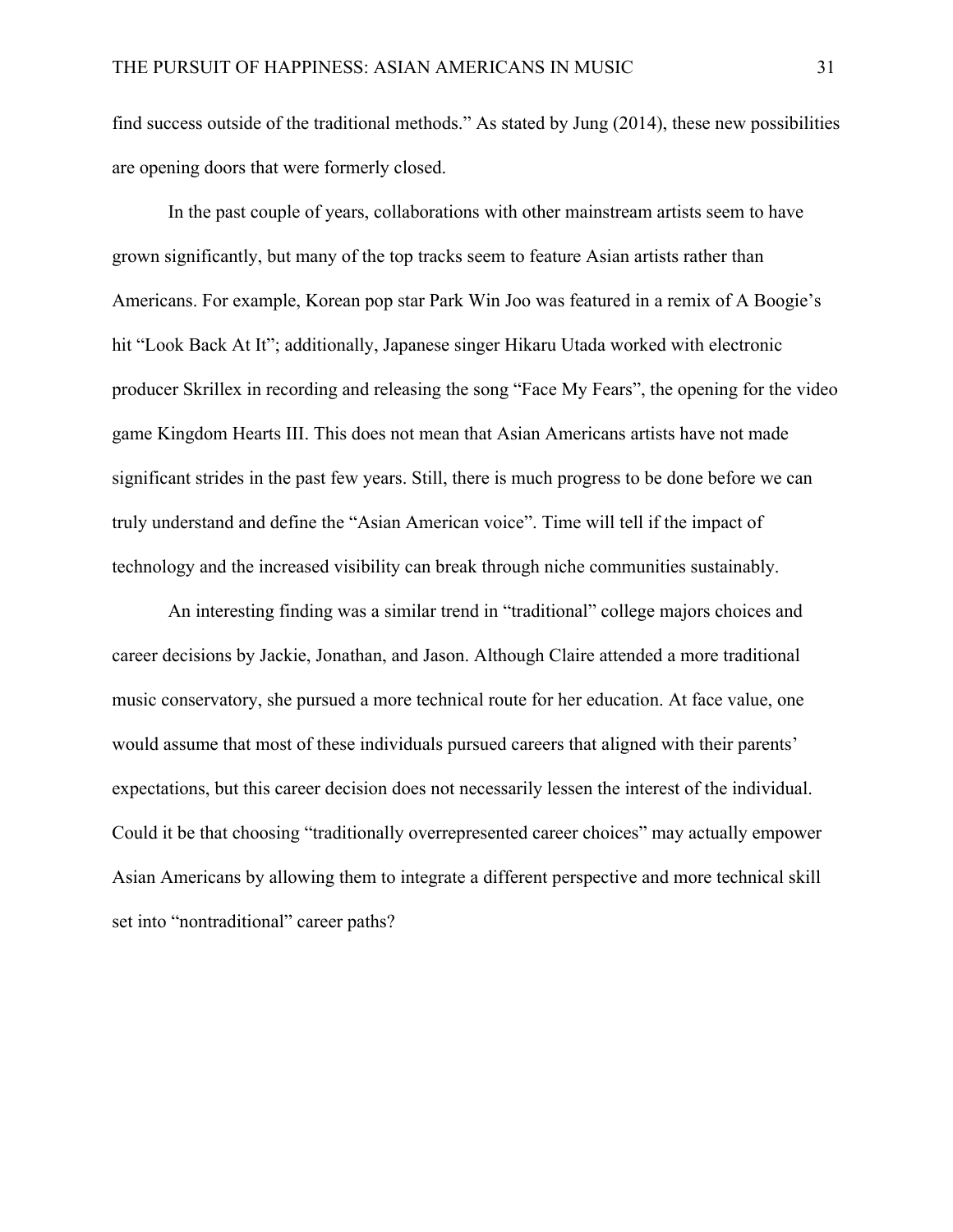find success outside of the traditional methods." As stated by Jung (2014), these new possibilities are opening doors that were formerly closed.

In the past couple of years, collaborations with other mainstream artists seem to have grown significantly, but many of the top tracks seem to feature Asian artists rather than Americans. For example, Korean pop star Park Win Joo was featured in a remix of A Boogie's hit "Look Back At It"; additionally, Japanese singer Hikaru Utada worked with electronic producer Skrillex in recording and releasing the song "Face My Fears", the opening for the video game Kingdom Hearts III. This does not mean that Asian Americans artists have not made significant strides in the past few years. Still, there is much progress to be done before we can truly understand and define the "Asian American voice". Time will tell if the impact of technology and the increased visibility can break through niche communities sustainably.

An interesting finding was a similar trend in "traditional" college majors choices and career decisions by Jackie, Jonathan, and Jason. Although Claire attended a more traditional music conservatory, she pursued a more technical route for her education. At face value, one would assume that most of these individuals pursued careers that aligned with their parents' expectations, but this career decision does not necessarily lessen the interest of the individual. Could it be that choosing "traditionally overrepresented career choices" may actually empower Asian Americans by allowing them to integrate a different perspective and more technical skill set into "nontraditional" career paths?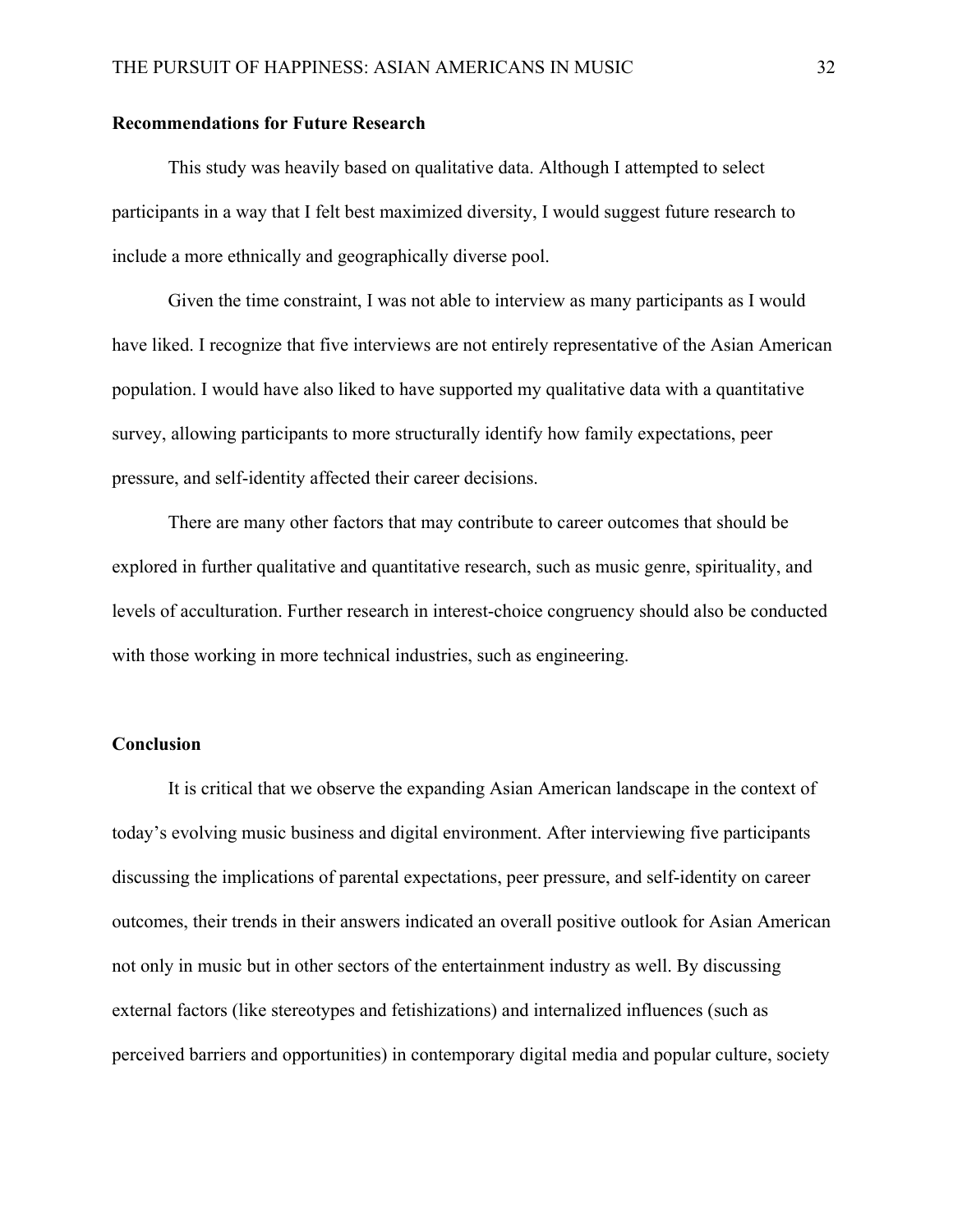#### **Recommendations for Future Research**

This study was heavily based on qualitative data. Although I attempted to select participants in a way that I felt best maximized diversity, I would suggest future research to include a more ethnically and geographically diverse pool.

Given the time constraint, I was not able to interview as many participants as I would have liked. I recognize that five interviews are not entirely representative of the Asian American population. I would have also liked to have supported my qualitative data with a quantitative survey, allowing participants to more structurally identify how family expectations, peer pressure, and self-identity affected their career decisions.

There are many other factors that may contribute to career outcomes that should be explored in further qualitative and quantitative research, such as music genre, spirituality, and levels of acculturation. Further research in interest-choice congruency should also be conducted with those working in more technical industries, such as engineering.

## **Conclusion**

It is critical that we observe the expanding Asian American landscape in the context of today's evolving music business and digital environment. After interviewing five participants discussing the implications of parental expectations, peer pressure, and self-identity on career outcomes, their trends in their answers indicated an overall positive outlook for Asian American not only in music but in other sectors of the entertainment industry as well. By discussing external factors (like stereotypes and fetishizations) and internalized influences (such as perceived barriers and opportunities) in contemporary digital media and popular culture, society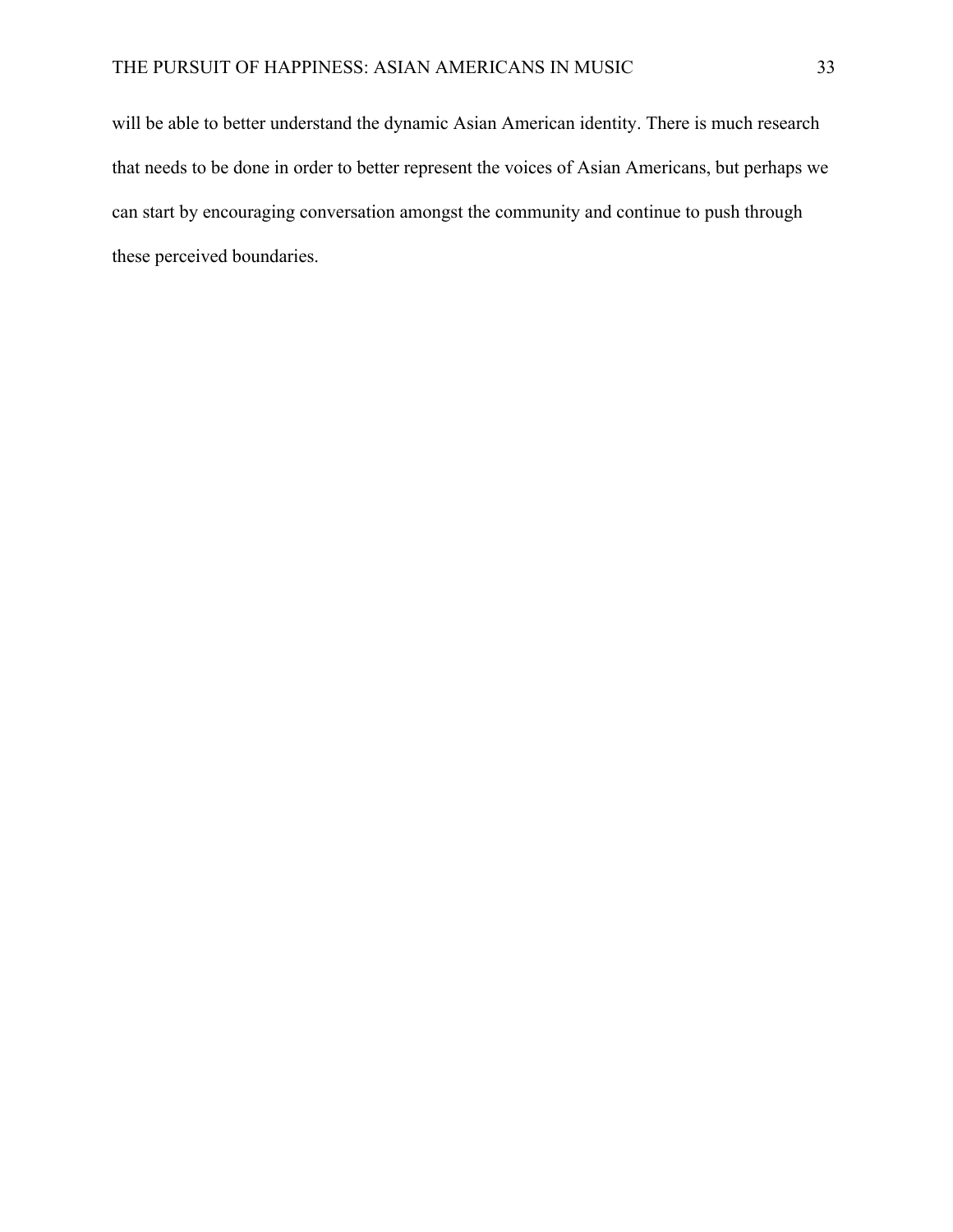will be able to better understand the dynamic Asian American identity. There is much research that needs to be done in order to better represent the voices of Asian Americans, but perhaps we can start by encouraging conversation amongst the community and continue to push through these perceived boundaries.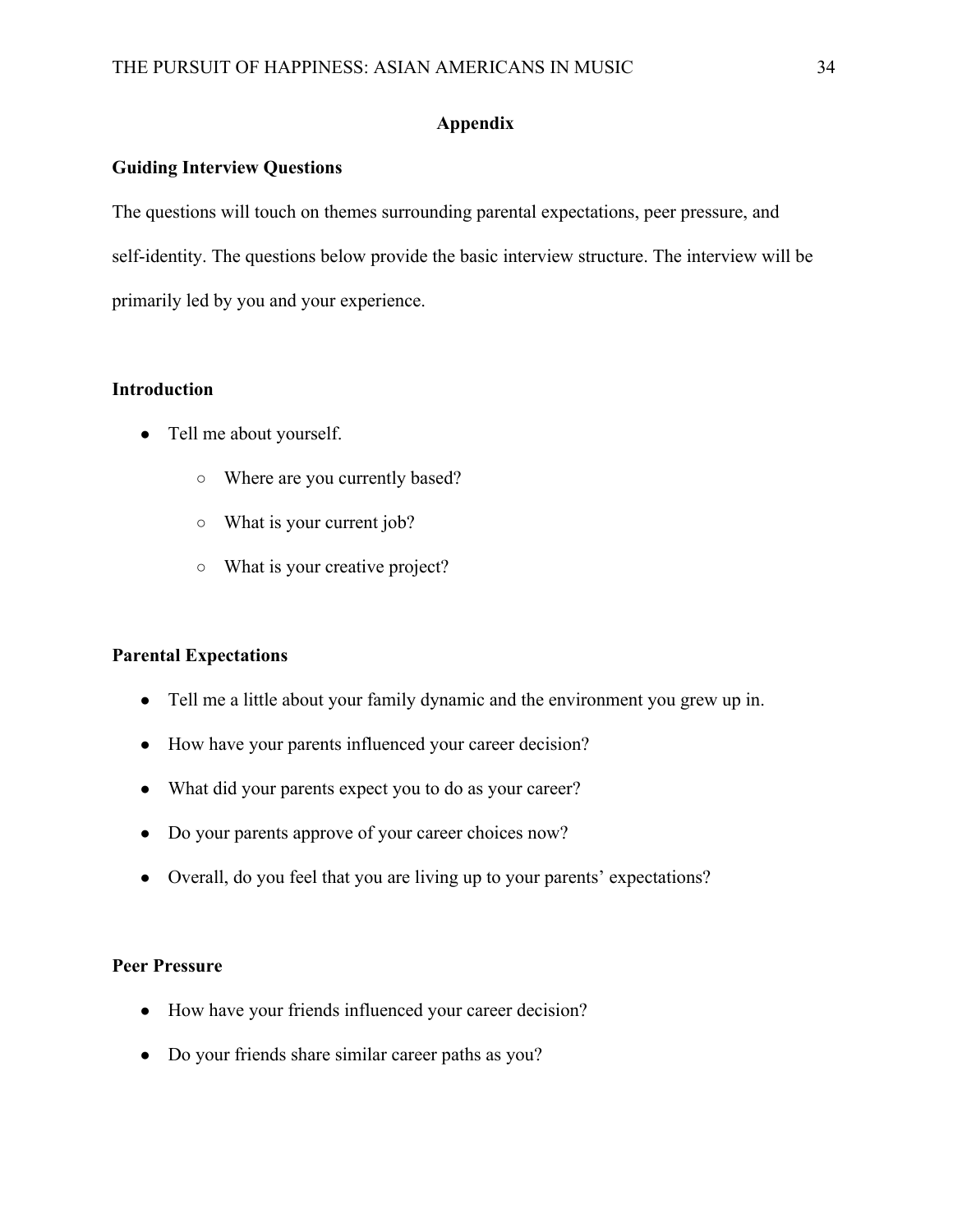# **Appendix**

# **Guiding Interview Questions**

The questions will touch on themes surrounding parental expectations, peer pressure, and self-identity. The questions below provide the basic interview structure. The interview will be primarily led by you and your experience.

# **Introduction**

- Tell me about yourself.
	- Where are you currently based?
	- What is your current job?
	- What is your creative project?

### **Parental Expectations**

- Tell me a little about your family dynamic and the environment you grew up in.
- How have your parents influenced your career decision?
- What did your parents expect you to do as your career?
- Do your parents approve of your career choices now?
- Overall, do you feel that you are living up to your parents' expectations?

### **Peer Pressure**

- How have your friends influenced your career decision?
- Do your friends share similar career paths as you?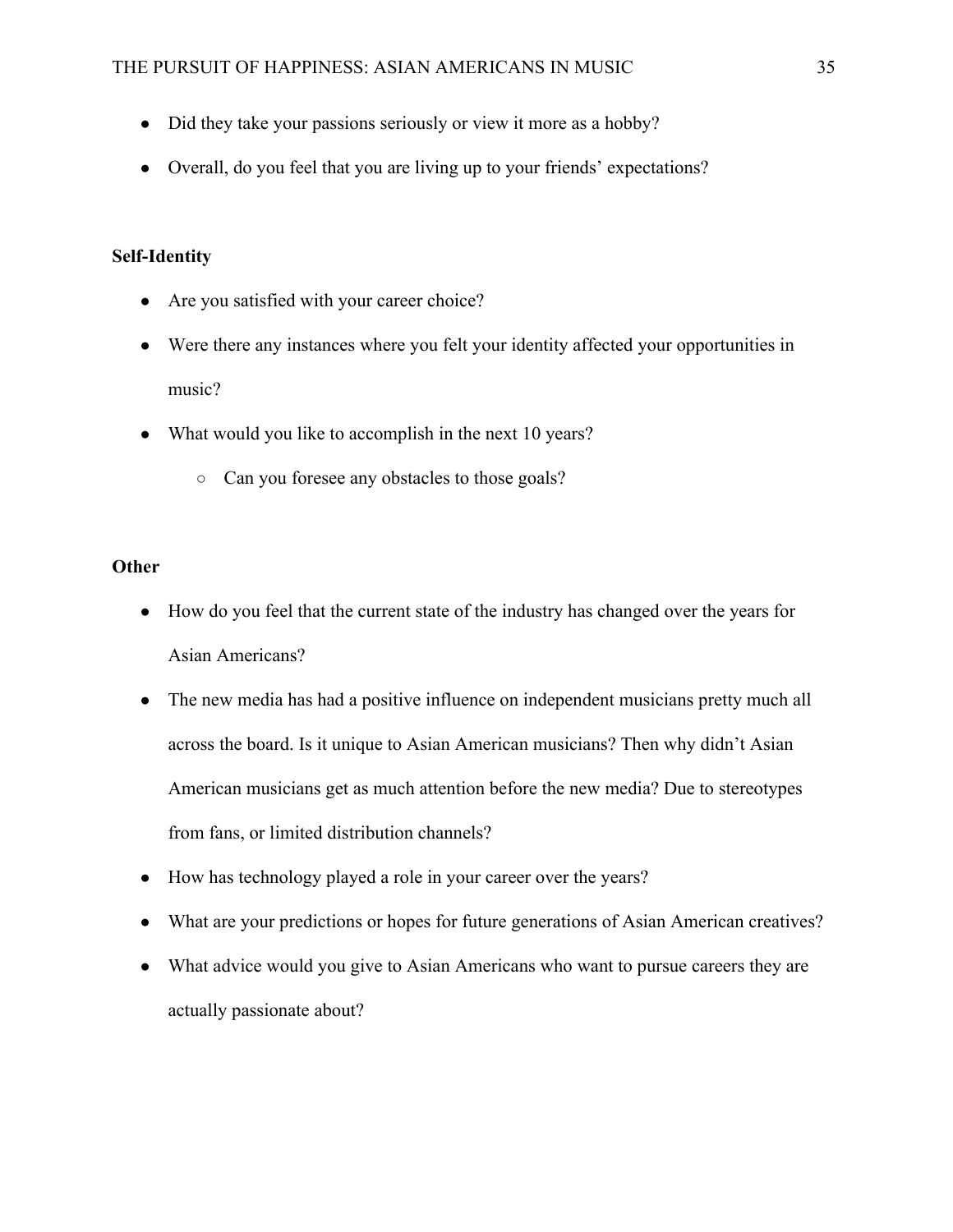- Did they take your passions seriously or view it more as a hobby?
- Overall, do you feel that you are living up to your friends' expectations?

# **Self-Identity**

- Are you satisfied with your career choice?
- Were there any instances where you felt your identity affected your opportunities in music?
- What would you like to accomplish in the next 10 years?
	- Can you foresee any obstacles to those goals?

# **Other**

- How do you feel that the current state of the industry has changed over the years for Asian Americans?
- The new media has had a positive influence on independent musicians pretty much all across the board. Is it unique to Asian American musicians? Then why didn't Asian American musicians get as much attention before the new media? Due to stereotypes from fans, or limited distribution channels?
- How has technology played a role in your career over the years?
- What are your predictions or hopes for future generations of Asian American creatives?
- What advice would you give to Asian Americans who want to pursue careers they are actually passionate about?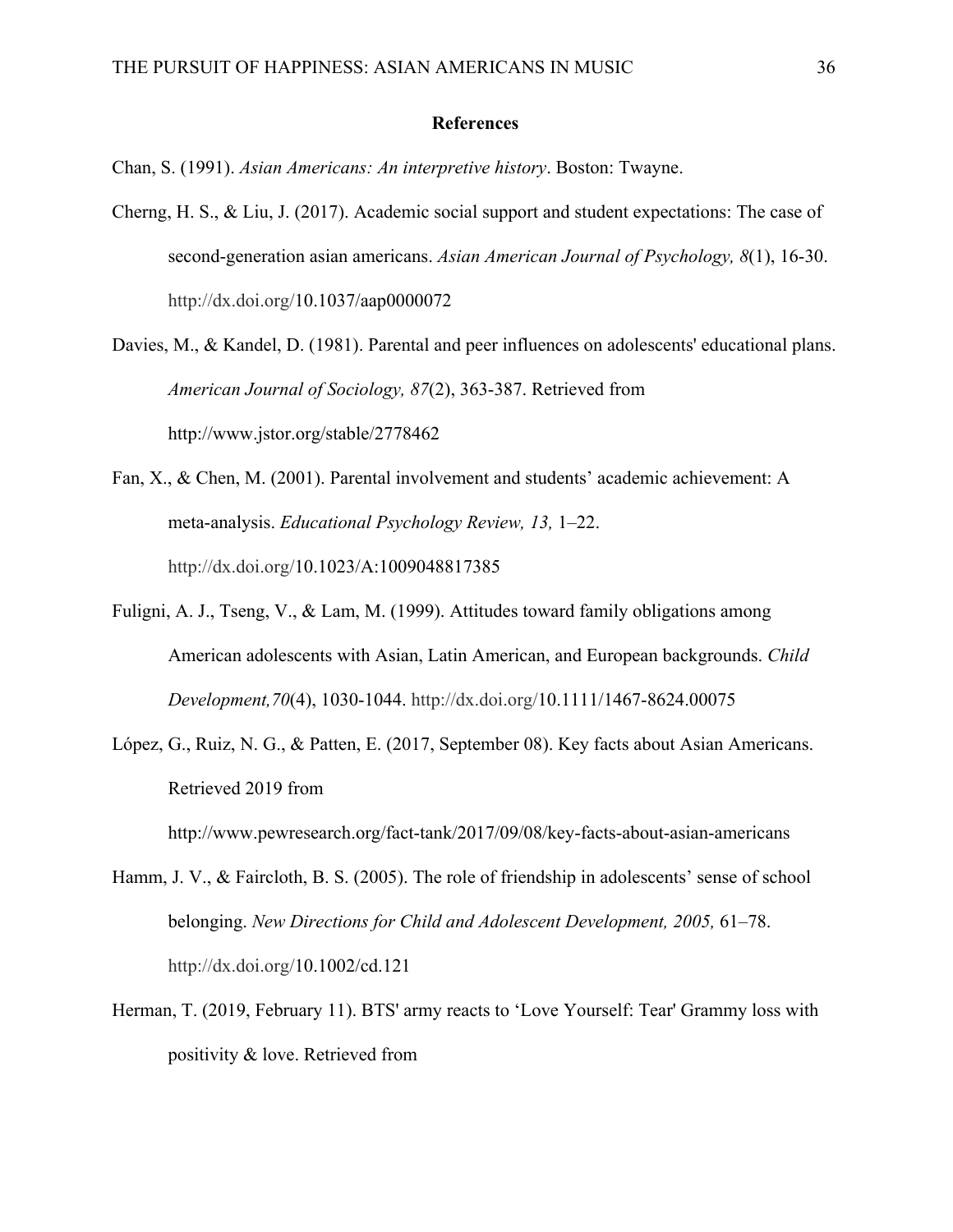#### **References**

Chan, S. (1991). *Asian Americans: An interpretive history*. Boston: Twayne.

Cherng, H. S., & Liu, J. (2017). Academic social support and student expectations: The case of second-generation asian americans. *Asian American Journal of Psychology, 8*(1), 16-30. http://dx.doi.org/10.1037/aap0000072

Davies, M., & Kandel, D. (1981). Parental and peer influences on adolescents' educational plans. *American Journal of Sociology, 87*(2), 363-387. Retrieved from http://www.jstor.org/stable/2778462

- Fan, X., & Chen, M. (2001). Parental involvement and students' academic achievement: A meta-analysis. *Educational Psychology Review, 13,* 1–22. http://dx.doi.org/10.1023/A:1009048817385
- Fuligni, A. J., Tseng, V., & Lam, M. (1999). Attitudes toward family obligations among American adolescents with Asian, Latin American, and European backgrounds. *Child Development,70*(4), 1030-1044. http://dx.doi.org/10.1111/1467-8624.00075
- López, G., Ruiz, N. G., & Patten, E. (2017, September 08). Key facts about Asian Americans. Retrieved 2019 from

http://www.pewresearch.org/fact-tank/2017/09/08/key-facts-about-asian-americans

- Hamm, J. V., & Faircloth, B. S. (2005). The role of friendship in adolescents' sense of school belonging. *New Directions for Child and Adolescent Development, 2005,* 61–78. http://dx.doi.org/10.1002/cd.121
- Herman, T. (2019, February 11). BTS' army reacts to 'Love Yourself: Tear' Grammy loss with positivity & love. Retrieved from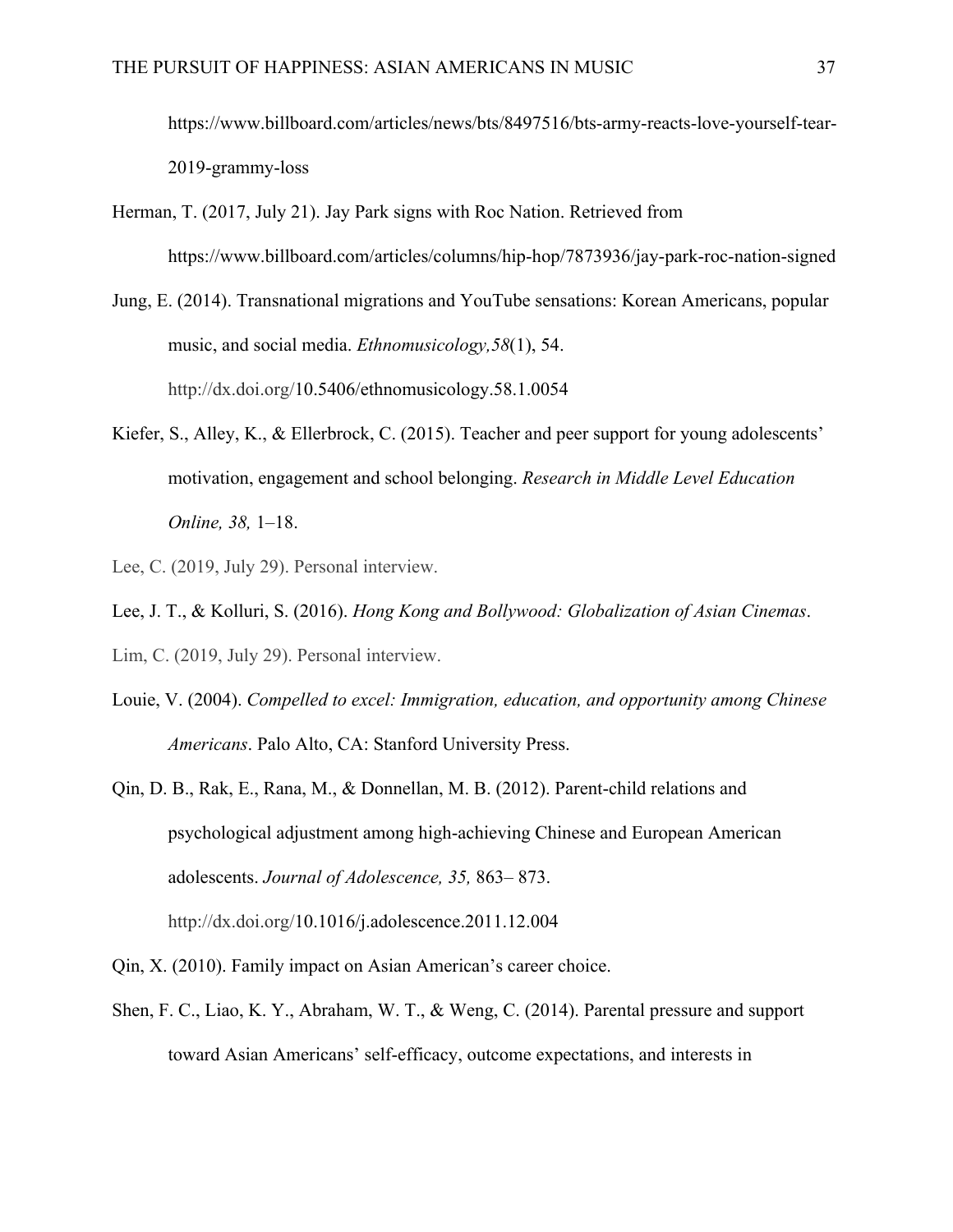https://www.billboard.com/articles/news/bts/8497516/bts-army-reacts-love-yourself-tear-2019-grammy-loss

- Herman, T. (2017, July 21). Jay Park signs with Roc Nation. Retrieved from https://www.billboard.com/articles/columns/hip-hop/7873936/jay-park-roc-nation-signed
- Jung, E. (2014). Transnational migrations and YouTube sensations: Korean Americans, popular music, and social media. *Ethnomusicology,58*(1), 54. http://dx.doi.org/10.5406/ethnomusicology.58.1.0054
- Kiefer, S., Alley, K., & Ellerbrock, C. (2015). Teacher and peer support for young adolescents' motivation, engagement and school belonging. *Research in Middle Level Education Online, 38,* 1–18.
- Lee, C. (2019, July 29). Personal interview.
- Lee, J. T., & Kolluri, S. (2016). *Hong Kong and Bollywood: Globalization of Asian Cinemas*. Lim, C. (2019, July 29). Personal interview.
- Louie, V. (2004). *Compelled to excel: Immigration, education, and opportunity among Chinese Americans*. Palo Alto, CA: Stanford University Press.
- Qin, D. B., Rak, E., Rana, M., & Donnellan, M. B. (2012). Parent-child relations and psychological adjustment among high-achieving Chinese and European American adolescents. *Journal of Adolescence, 35,* 863– 873. http://dx.doi.org/10.1016/j.adolescence.2011.12.004
- Qin, X. (2010). Family impact on Asian American's career choice.
- Shen, F. C., Liao, K. Y., Abraham, W. T., & Weng, C. (2014). Parental pressure and support toward Asian Americans' self-efficacy, outcome expectations, and interests in